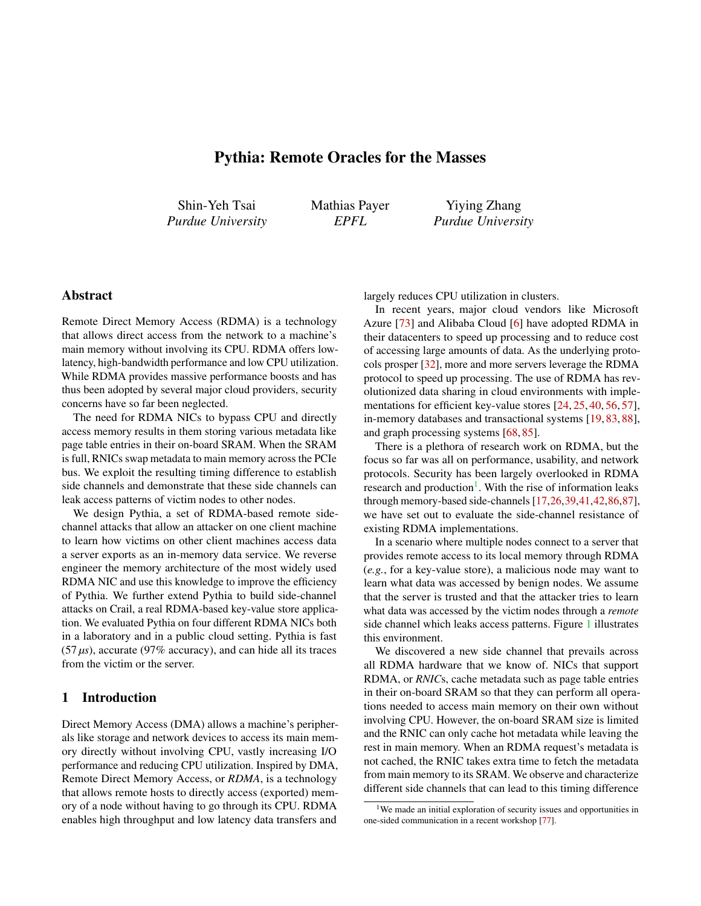# Pythia: Remote Oracles for the Masses

<span id="page-0-0"></span>Shin-Yeh Tsai *Purdue University* Mathias Payer *EPFL*

Yiying Zhang *Purdue University*

# Abstract

Remote Direct Memory Access (RDMA) is a technology that allows direct access from the network to a machine's main memory without involving its CPU. RDMA offers lowlatency, high-bandwidth performance and low CPU utilization. While RDMA provides massive performance boosts and has thus been adopted by several major cloud providers, security concerns have so far been neglected.

The need for RDMA NICs to bypass CPU and directly access memory results in them storing various metadata like page table entries in their on-board SRAM. When the SRAM is full, RNICs swap metadata to main memory across the PCIe bus. We exploit the resulting timing difference to establish side channels and demonstrate that these side channels can leak access patterns of victim nodes to other nodes.

We design Pythia, a set of RDMA-based remote sidechannel attacks that allow an attacker on one client machine to learn how victims on other client machines access data a server exports as an in-memory data service. We reverse engineer the memory architecture of the most widely used RDMA NIC and use this knowledge to improve the efficiency of Pythia. We further extend Pythia to build side-channel attacks on Crail, a real RDMA-based key-value store application. We evaluated Pythia on four different RDMA NICs both in a laboratory and in a public cloud setting. Pythia is fast  $(57 \,\mu s)$ , accurate (97% accuracy), and can hide all its traces from the victim or the server.

## 1 Introduction

Direct Memory Access (DMA) allows a machine's peripherals like storage and network devices to access its main memory directly without involving CPU, vastly increasing I/O performance and reducing CPU utilization. Inspired by DMA, Remote Direct Memory Access, or *RDMA*, is a technology that allows remote hosts to directly access (exported) memory of a node without having to go through its CPU. RDMA enables high throughput and low latency data transfers and

largely reduces CPU utilization in clusters.

In recent years, major cloud vendors like Microsoft Azure [\[73\]](#page-16-0) and Alibaba Cloud [\[6\]](#page-13-0) have adopted RDMA in their datacenters to speed up processing and to reduce cost of accessing large amounts of data. As the underlying protocols prosper [\[32\]](#page-14-0), more and more servers leverage the RDMA protocol to speed up processing. The use of RDMA has revolutionized data sharing in cloud environments with imple-mentations for efficient key-value stores [\[24,](#page-14-1) [25,](#page-14-2) [40,](#page-15-0) [56,](#page-15-1) [57\]](#page-15-2), in-memory databases and transactional systems [\[19,](#page-14-3) [83,](#page-16-1) [88\]](#page-17-0), and graph processing systems [\[68,](#page-16-2) [85\]](#page-16-3).

There is a plethora of research work on RDMA, but the focus so far was all on performance, usability, and network protocols. Security has been largely overlooked in RDMA research and production<sup>1</sup>. With the rise of information leaks through memory-based side-channels [\[17,](#page-14-4)[26,](#page-14-5)[39,](#page-15-3)[41,](#page-15-4)[42](#page-15-5)[,86,](#page-17-1)[87\]](#page-17-2), we have set out to evaluate the side-channel resistance of existing RDMA implementations.

In a scenario where multiple nodes connect to a server that provides remote access to its local memory through RDMA (*e.g.*, for a key-value store), a malicious node may want to learn what data was accessed by benign nodes. We assume that the server is trusted and that the attacker tries to learn what data was accessed by the victim nodes through a *remote* side channel which leaks access patterns. Figure [1](#page-1-0) illustrates this environment.

We discovered a new side channel that prevails across all RDMA hardware that we know of. NICs that support RDMA, or *RNIC*s, cache metadata such as page table entries in their on-board SRAM so that they can perform all operations needed to access main memory on their own without involving CPU. However, the on-board SRAM size is limited and the RNIC can only cache hot metadata while leaving the rest in main memory. When an RDMA request's metadata is not cached, the RNIC takes extra time to fetch the metadata from main memory to its SRAM. We observe and characterize different side channels that can lead to this timing difference

<sup>&</sup>lt;sup>1</sup>We made an initial exploration of security issues and opportunities in one-sided communication in a recent workshop [\[77\]](#page-16-4).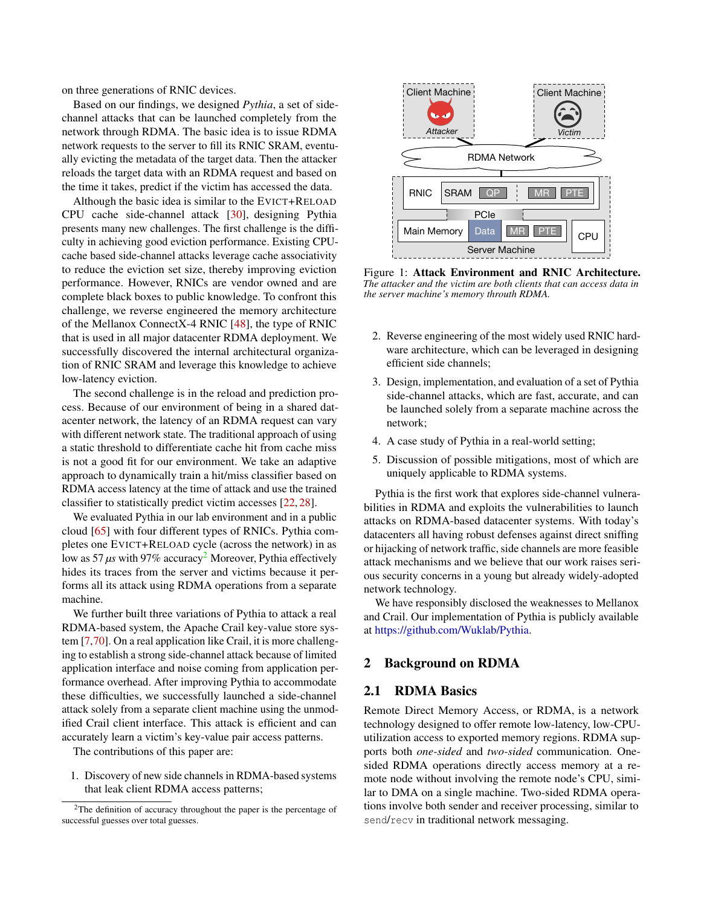on three generations of RNIC devices.

Based on our findings, we designed *Pythia*, a set of sidechannel attacks that can be launched completely from the network through RDMA. The basic idea is to issue RDMA network requests to the server to fill its RNIC SRAM, eventually evicting the metadata of the target data. Then the attacker reloads the target data with an RDMA request and based on the time it takes, predict if the victim has accessed the data.

Although the basic idea is similar to the EVICT+RELOAD CPU cache side-channel attack [\[30\]](#page-14-6), designing Pythia presents many new challenges. The first challenge is the difficulty in achieving good eviction performance. Existing CPUcache based side-channel attacks leverage cache associativity to reduce the eviction set size, thereby improving eviction performance. However, RNICs are vendor owned and are complete black boxes to public knowledge. To confront this challenge, we reverse engineered the memory architecture of the Mellanox ConnectX-4 RNIC [\[48\]](#page-15-6), the type of RNIC that is used in all major datacenter RDMA deployment. We successfully discovered the internal architectural organization of RNIC SRAM and leverage this knowledge to achieve low-latency eviction.

The second challenge is in the reload and prediction process. Because of our environment of being in a shared datacenter network, the latency of an RDMA request can vary with different network state. The traditional approach of using a static threshold to differentiate cache hit from cache miss is not a good fit for our environment. We take an adaptive approach to dynamically train a hit/miss classifier based on RDMA access latency at the time of attack and use the trained classifier to statistically predict victim accesses [\[22,](#page-14-7) [28\]](#page-14-8).

We evaluated Pythia in our lab environment and in a public cloud [\[65\]](#page-16-5) with four different types of RNICs. Pythia completes one EVICT+RELOAD cycle (across the network) in as low as 57  $\mu$ s with 97% accuracy<sup>[2](#page-0-0)</sup> Moreover, Pythia effectively hides its traces from the server and victims because it performs all its attack using RDMA operations from a separate machine.

We further built three variations of Pythia to attack a real RDMA-based system, the Apache Crail key-value store system [\[7,](#page-13-1)[70\]](#page-16-6). On a real application like Crail, it is more challenging to establish a strong side-channel attack because of limited application interface and noise coming from application performance overhead. After improving Pythia to accommodate these difficulties, we successfully launched a side-channel attack solely from a separate client machine using the unmodified Crail client interface. This attack is efficient and can accurately learn a victim's key-value pair access patterns.

The contributions of this paper are:

1. Discovery of new side channels in RDMA-based systems that leak client RDMA access patterns;



<span id="page-1-0"></span>Figure 1: Attack Environment and RNIC Architecture. *The attacker and the victim are both clients that can access data in the server machine's memory throuth RDMA.*

- 2. Reverse engineering of the most widely used RNIC hardware architecture, which can be leveraged in designing efficient side channels;
- 3. Design, implementation, and evaluation of a set of Pythia side-channel attacks, which are fast, accurate, and can be launched solely from a separate machine across the network;
- 4. A case study of Pythia in a real-world setting;
- 5. Discussion of possible mitigations, most of which are uniquely applicable to RDMA systems.

Pythia is the first work that explores side-channel vulnerabilities in RDMA and exploits the vulnerabilities to launch attacks on RDMA-based datacenter systems. With today's datacenters all having robust defenses against direct sniffing or hijacking of network traffic, side channels are more feasible attack mechanisms and we believe that our work raises serious security concerns in a young but already widely-adopted network technology.

We have responsibly disclosed the weaknesses to Mellanox and Crail. Our implementation of Pythia is publicly available at [https://github.com/Wuklab/Pythia.](https://github.com/Wuklab/Pythia)

## 2 Background on RDMA

## 2.1 RDMA Basics

Remote Direct Memory Access, or RDMA, is a network technology designed to offer remote low-latency, low-CPUutilization access to exported memory regions. RDMA supports both *one-sided* and *two-sided* communication. Onesided RDMA operations directly access memory at a remote node without involving the remote node's CPU, similar to DMA on a single machine. Two-sided RDMA operations involve both sender and receiver processing, similar to send/recv in traditional network messaging.

 $2$ The definition of accuracy throughout the paper is the percentage of successful guesses over total guesses.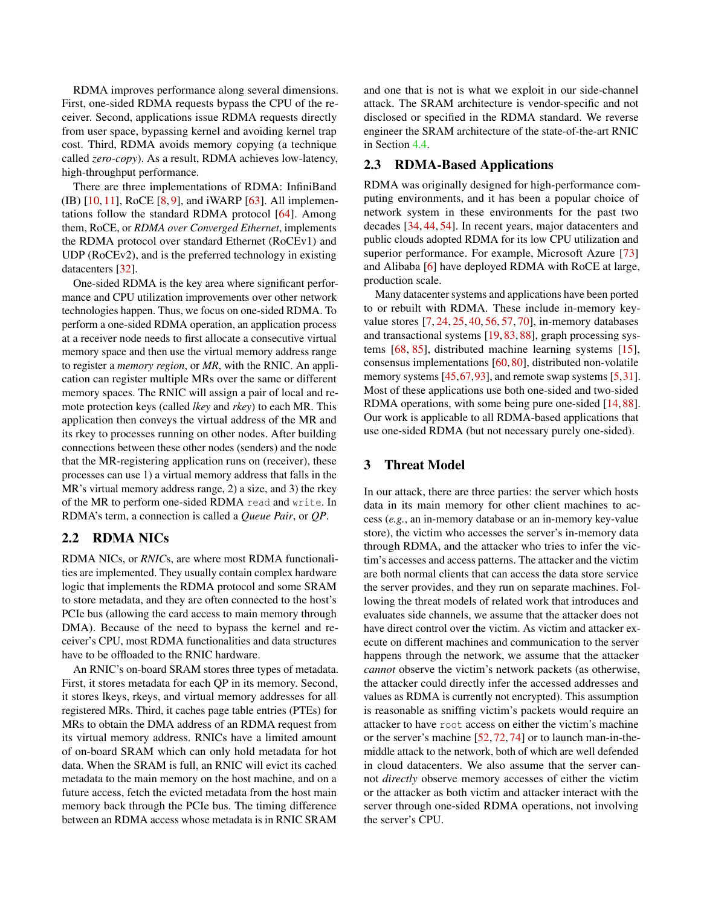RDMA improves performance along several dimensions. First, one-sided RDMA requests bypass the CPU of the receiver. Second, applications issue RDMA requests directly from user space, bypassing kernel and avoiding kernel trap cost. Third, RDMA avoids memory copying (a technique called *zero-copy*). As a result, RDMA achieves low-latency, high-throughput performance.

There are three implementations of RDMA: InfiniBand (IB) [\[10,](#page-13-2) [11\]](#page-13-3), RoCE [\[8,](#page-13-4) [9\]](#page-13-5), and iWARP [\[63\]](#page-16-7). All implementations follow the standard RDMA protocol [\[64\]](#page-16-8). Among them, RoCE, or *RDMA over Converged Ethernet*, implements the RDMA protocol over standard Ethernet (RoCEv1) and UDP (RoCEv2), and is the preferred technology in existing datacenters [\[32\]](#page-14-0).

One-sided RDMA is the key area where significant performance and CPU utilization improvements over other network technologies happen. Thus, we focus on one-sided RDMA. To perform a one-sided RDMA operation, an application process at a receiver node needs to first allocate a consecutive virtual memory space and then use the virtual memory address range to register a *memory region*, or *MR*, with the RNIC. An application can register multiple MRs over the same or different memory spaces. The RNIC will assign a pair of local and remote protection keys (called *lkey* and *rkey*) to each MR. This application then conveys the virtual address of the MR and its rkey to processes running on other nodes. After building connections between these other nodes (senders) and the node that the MR-registering application runs on (receiver), these processes can use 1) a virtual memory address that falls in the MR's virtual memory address range, 2) a size, and 3) the rkey of the MR to perform one-sided RDMA read and write. In RDMA's term, a connection is called a *Queue Pair*, or *QP*.

## <span id="page-2-0"></span>2.2 RDMA NICs

RDMA NICs, or *RNIC*s, are where most RDMA functionalities are implemented. They usually contain complex hardware logic that implements the RDMA protocol and some SRAM to store metadata, and they are often connected to the host's PCIe bus (allowing the card access to main memory through DMA). Because of the need to bypass the kernel and receiver's CPU, most RDMA functionalities and data structures have to be offloaded to the RNIC hardware.

An RNIC's on-board SRAM stores three types of metadata. First, it stores metadata for each QP in its memory. Second, it stores lkeys, rkeys, and virtual memory addresses for all registered MRs. Third, it caches page table entries (PTEs) for MRs to obtain the DMA address of an RDMA request from its virtual memory address. RNICs have a limited amount of on-board SRAM which can only hold metadata for hot data. When the SRAM is full, an RNIC will evict its cached metadata to the main memory on the host machine, and on a future access, fetch the evicted metadata from the host main memory back through the PCIe bus. The timing difference between an RDMA access whose metadata is in RNIC SRAM

and one that is not is what we exploit in our side-channel attack. The SRAM architecture is vendor-specific and not disclosed or specified in the RDMA standard. We reverse engineer the SRAM architecture of the state-of-the-art RNIC in Section [4.4.](#page-5-0)

## 2.3 RDMA-Based Applications

RDMA was originally designed for high-performance computing environments, and it has been a popular choice of network system in these environments for the past two decades [\[34,](#page-14-9) [44,](#page-15-7) [54\]](#page-15-8). In recent years, major datacenters and public clouds adopted RDMA for its low CPU utilization and superior performance. For example, Microsoft Azure [\[73\]](#page-16-0) and Alibaba [\[6\]](#page-13-0) have deployed RDMA with RoCE at large, production scale.

Many datacenter systems and applications have been ported to or rebuilt with RDMA. These include in-memory keyvalue stores [\[7,](#page-13-1) [24,](#page-14-1) [25,](#page-14-2) [40,](#page-15-0) [56,](#page-15-1) [57,](#page-15-2) [70\]](#page-16-6), in-memory databases and transactional systems [\[19,](#page-14-3) [83,](#page-16-1) [88\]](#page-17-0), graph processing systems [\[68,](#page-16-2) [85\]](#page-16-3), distributed machine learning systems [\[15\]](#page-13-6), consensus implementations [\[60,](#page-15-9) [80\]](#page-16-9), distributed non-volatile memory systems [\[45,](#page-15-10)[67,](#page-16-10)[93\]](#page-17-3), and remote swap systems [\[5,](#page-13-7)[31\]](#page-14-10). Most of these applications use both one-sided and two-sided RDMA operations, with some being pure one-sided [\[14,](#page-13-8) [88\]](#page-17-0). Our work is applicable to all RDMA-based applications that use one-sided RDMA (but not necessary purely one-sided).

## 3 Threat Model

In our attack, there are three parties: the server which hosts data in its main memory for other client machines to access (*e.g.*, an in-memory database or an in-memory key-value store), the victim who accesses the server's in-memory data through RDMA, and the attacker who tries to infer the victim's accesses and access patterns. The attacker and the victim are both normal clients that can access the data store service the server provides, and they run on separate machines. Following the threat models of related work that introduces and evaluates side channels, we assume that the attacker does not have direct control over the victim. As victim and attacker execute on different machines and communication to the server happens through the network, we assume that the attacker *cannot* observe the victim's network packets (as otherwise, the attacker could directly infer the accessed addresses and values as RDMA is currently not encrypted). This assumption is reasonable as sniffing victim's packets would require an attacker to have root access on either the victim's machine or the server's machine [\[52,](#page-15-11) [72,](#page-16-11) [74\]](#page-16-12) or to launch man-in-themiddle attack to the network, both of which are well defended in cloud datacenters. We also assume that the server cannot *directly* observe memory accesses of either the victim or the attacker as both victim and attacker interact with the server through one-sided RDMA operations, not involving the server's CPU.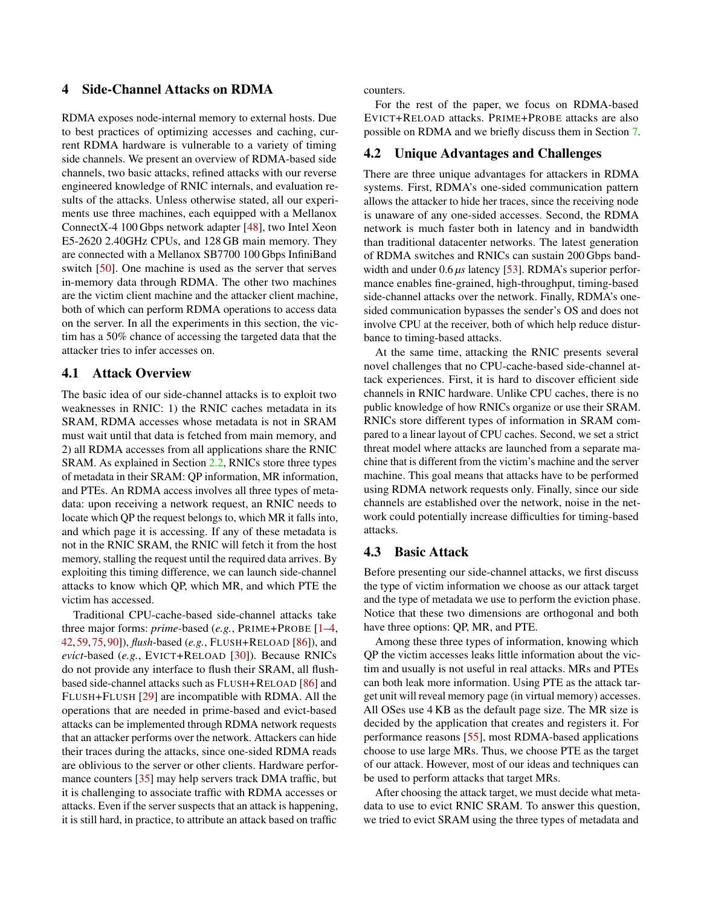## <span id="page-3-0"></span>4 Side-Channel Attacks on RDMA

RDMA exposes node-internal memory to external hosts. Due to best practices of optimizing accesses and caching, current RDMA hardware is vulnerable to a variety of timing side channels. We present an overview of RDMA-based side channels, two basic attacks, refined attacks with our reverse engineered knowledge of RNIC internals, and evaluation results of the attacks. Unless otherwise stated, all our experiments use three machines, each equipped with a Mellanox ConnectX-4 100 Gbps network adapter [\[48\]](#page-15-6), two Intel Xeon E5-2620 2.40GHz CPUs, and 128 GB main memory. They are connected with a Mellanox SB7700 100 Gbps InfiniBand switch [\[50\]](#page-15-12). One machine is used as the server that serves in-memory data through RDMA. The other two machines are the victim client machine and the attacker client machine, both of which can perform RDMA operations to access data on the server. In all the experiments in this section, the victim has a 50% chance of accessing the targeted data that the attacker tries to infer accesses on.

### 4.1 Attack Overview

The basic idea of our side-channel attacks is to exploit two weaknesses in RNIC: 1) the RNIC caches metadata in its SRAM, RDMA accesses whose metadata is not in SRAM must wait until that data is fetched from main memory, and 2) all RDMA accesses from all applications share the RNIC SRAM. As explained in Section [2.2,](#page-2-0) RNICs store three types of metadata in their SRAM: QP information, MR information, and PTEs. An RDMA access involves all three types of metadata: upon receiving a network request, an RNIC needs to locate which QP the request belongs to, which MR it falls into, and which page it is accessing. If any of these metadata is not in the RNIC SRAM, the RNIC will fetch it from the host memory, stalling the request until the required data arrives. By exploiting this timing difference, we can launch side-channel attacks to know which QP, which MR, and which PTE the victim has accessed.

Traditional CPU-cache-based side-channel attacks take three major forms: *prime*-based (*e.g.*, PRIME+PROBE [\[1–](#page-13-9)[4,](#page-13-10) [42,](#page-15-5)[59,](#page-15-13)[75,](#page-16-13)[90\]](#page-17-4)), *flush*-based (*e.g.*, FLUSH+RELOAD [\[86\]](#page-17-1)), and *evict*-based (*e.g.*, EVICT+RELOAD [\[30\]](#page-14-6)). Because RNICs do not provide any interface to flush their SRAM, all flushbased side-channel attacks such as FLUSH+RELOAD [\[86\]](#page-17-1) and FLUSH+FLUSH [\[29\]](#page-14-11) are incompatible with RDMA. All the operations that are needed in prime-based and evict-based attacks can be implemented through RDMA network requests that an attacker performs over the network. Attackers can hide their traces during the attacks, since one-sided RDMA reads are oblivious to the server or other clients. Hardware performance counters [\[35\]](#page-14-12) may help servers track DMA traffic, but it is challenging to associate traffic with RDMA accesses or attacks. Even if the server suspects that an attack is happening, it is still hard, in practice, to attribute an attack based on traffic

counters.

For the rest of the paper, we focus on RDMA-based EVICT+RELOAD attacks. PRIME+PROBE attacks are also possible on RDMA and we briefly discuss them in Section [7.](#page-11-0)

## 4.2 Unique Advantages and Challenges

There are three unique advantages for attackers in RDMA systems. First, RDMA's one-sided communication pattern allows the attacker to hide her traces, since the receiving node is unaware of any one-sided accesses. Second, the RDMA network is much faster both in latency and in bandwidth than traditional datacenter networks. The latest generation of RDMA switches and RNICs can sustain 200 Gbps bandwidth and under 0.6 *µs* latency [\[53\]](#page-15-14). RDMA's superior performance enables fine-grained, high-throughput, timing-based side-channel attacks over the network. Finally, RDMA's onesided communication bypasses the sender's OS and does not involve CPU at the receiver, both of which help reduce disturbance to timing-based attacks.

At the same time, attacking the RNIC presents several novel challenges that no CPU-cache-based side-channel attack experiences. First, it is hard to discover efficient side channels in RNIC hardware. Unlike CPU caches, there is no public knowledge of how RNICs organize or use their SRAM. RNICs store different types of information in SRAM compared to a linear layout of CPU caches. Second, we set a strict threat model where attacks are launched from a separate machine that is different from the victim's machine and the server machine. This goal means that attacks have to be performed using RDMA network requests only. Finally, since our side channels are established over the network, noise in the network could potentially increase difficulties for timing-based attacks.

### <span id="page-3-1"></span>4.3 Basic Attack

Before presenting our side-channel attacks, we first discuss the type of victim information we choose as our attack target and the type of metadata we use to perform the eviction phase. Notice that these two dimensions are orthogonal and both have three options: QP, MR, and PTE.

Among these three types of information, knowing which QP the victim accesses leaks little information about the victim and usually is not useful in real attacks. MRs and PTEs can both leak more information. Using PTE as the attack target unit will reveal memory page (in virtual memory) accesses. All OSes use 4 KB as the default page size. The MR size is decided by the application that creates and registers it. For performance reasons [\[55\]](#page-15-15), most RDMA-based applications choose to use large MRs. Thus, we choose PTE as the target of our attack. However, most of our ideas and techniques can be used to perform attacks that target MRs.

After choosing the attack target, we must decide what metadata to use to evict RNIC SRAM. To answer this question, we tried to evict SRAM using the three types of metadata and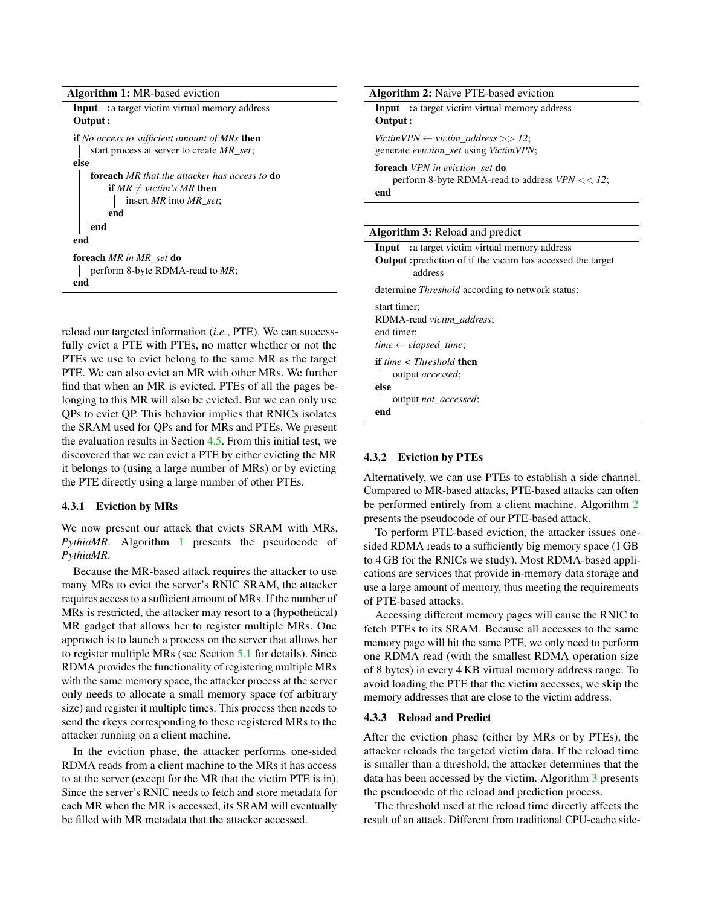Algorithm 1: MR-based eviction

<span id="page-4-0"></span>

| <b>Input</b> : a target victim virtual memory address       |  |
|-------------------------------------------------------------|--|
| Output:                                                     |  |
| <b>if</b> No access to sufficient amount of MRs <b>then</b> |  |
| start process at server to create MR_set;                   |  |
| else                                                        |  |
| <b>foreach</b> MR that the attacker has access to <b>do</b> |  |
| <b>if</b> $MR \neq$ victim's MR then                        |  |
| insert MR into MR_set;                                      |  |
| end                                                         |  |
| end                                                         |  |
| end                                                         |  |
| <b>foreach</b> MR in MR set <b>do</b>                       |  |
| perform 8-byte RDMA-read to MR;                             |  |
| end                                                         |  |

reload our targeted information (*i.e.*, PTE). We can successfully evict a PTE with PTEs, no matter whether or not the PTEs we use to evict belong to the same MR as the target PTE. We can also evict an MR with other MRs. We further find that when an MR is evicted, PTEs of all the pages belonging to this MR will also be evicted. But we can only use QPs to evict QP. This behavior implies that RNICs isolates the SRAM used for QPs and for MRs and PTEs. We present the evaluation results in Section [4.5.](#page-6-0) From this initial test, we discovered that we can evict a PTE by either evicting the MR it belongs to (using a large number of MRs) or by evicting the PTE directly using a large number of other PTEs.

#### <span id="page-4-4"></span>4.3.1 Eviction by MRs

We now present our attack that evicts SRAM with MRs, *PythiaMR*. Algorithm [1](#page-4-0) presents the pseudocode of *PythiaMR*.

Because the MR-based attack requires the attacker to use many MRs to evict the server's RNIC SRAM, the attacker requires access to a sufficient amount of MRs. If the number of MRs is restricted, the attacker may resort to a (hypothetical) MR gadget that allows her to register multiple MRs. One approach is to launch a process on the server that allows her to register multiple MRs (see Section [5.1](#page-9-0) for details). Since RDMA provides the functionality of registering multiple MRs with the same memory space, the attacker process at the server only needs to allocate a small memory space (of arbitrary size) and register it multiple times. This process then needs to send the rkeys corresponding to these registered MRs to the attacker running on a client machine.

<span id="page-4-3"></span>In the eviction phase, the attacker performs one-sided RDMA reads from a client machine to the MRs it has access to at the server (except for the MR that the victim PTE is in). Since the server's RNIC needs to fetch and store metadata for each MR when the MR is accessed, its SRAM will eventually be filled with MR metadata that the attacker accessed.

<span id="page-4-1"></span>

| <b>Algorithm 2:</b> Naive PTE-based eviction                                                       |
|----------------------------------------------------------------------------------------------------|
| <b>Input</b> : a target victim virtual memory address                                              |
| Output:                                                                                            |
| VictimVPN $\leftarrow$ victim_address >> 12;                                                       |
| generate eviction_set using VictimVPN;                                                             |
| <b>foreach</b> VPN in eviction set <b>do</b><br>perform 8-byte RDMA-read to address $VPN \ll 12$ ; |
| end                                                                                                |

#### Algorithm 3: Reload and predict

<span id="page-4-2"></span>

| <b>Input</b> : a target victim virtual memory address<br><b>Output:</b> prediction of if the victim has accessed the target<br>address |
|----------------------------------------------------------------------------------------------------------------------------------------|
| determine <i>Threshold</i> according to network status:                                                                                |
| start timer:<br>RDMA-read victim address;<br>end timer;<br>time $\leftarrow$ elapsed time;                                             |
| <b>if</b> time $\langle$ Threshold <b>then</b><br>output accessed;                                                                     |
| else                                                                                                                                   |
| output not_accessed;<br>end                                                                                                            |

#### 4.3.2 Eviction by PTEs

Alternatively, we can use PTEs to establish a side channel. Compared to MR-based attacks, PTE-based attacks can often be performed entirely from a client machine. Algorithm [2](#page-4-1) presents the pseudocode of our PTE-based attack.

To perform PTE-based eviction, the attacker issues onesided RDMA reads to a sufficiently big memory space (1 GB to 4 GB for the RNICs we study). Most RDMA-based applications are services that provide in-memory data storage and use a large amount of memory, thus meeting the requirements of PTE-based attacks.

Accessing different memory pages will cause the RNIC to fetch PTEs to its SRAM. Because all accesses to the same memory page will hit the same PTE, we only need to perform one RDMA read (with the smallest RDMA operation size of 8 bytes) in every 4 KB virtual memory address range. To avoid loading the PTE that the victim accesses, we skip the memory addresses that are close to the victim address.

#### 4.3.3 Reload and Predict

After the eviction phase (either by MRs or by PTEs), the attacker reloads the targeted victim data. If the reload time is smaller than a threshold, the attacker determines that the data has been accessed by the victim. Algorithm [3](#page-4-2) presents the pseudocode of the reload and prediction process.

The threshold used at the reload time directly affects the result of an attack. Different from traditional CPU-cache side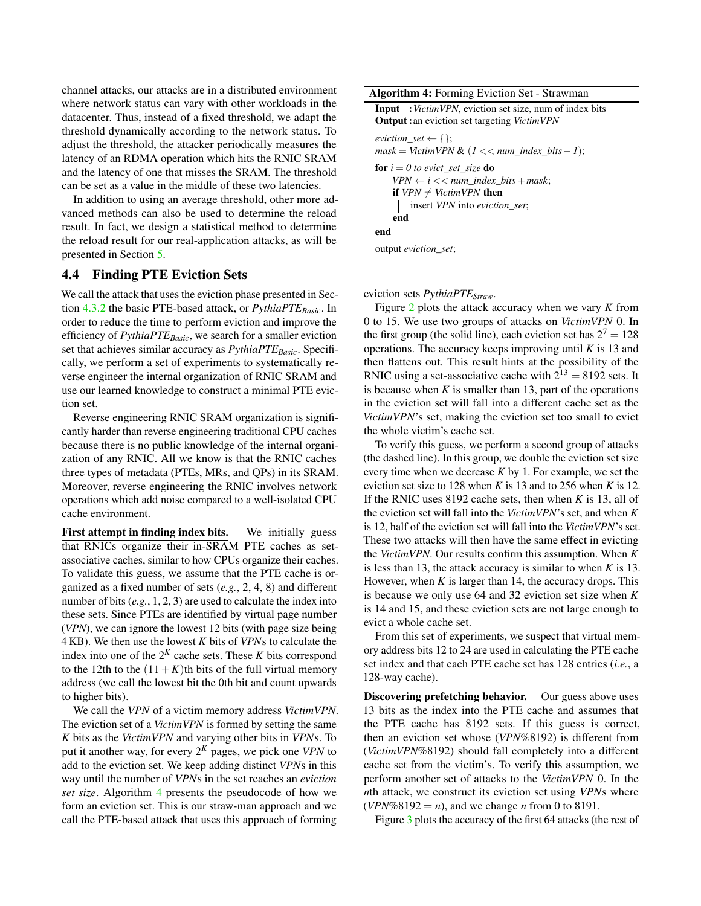channel attacks, our attacks are in a distributed environment where network status can vary with other workloads in the datacenter. Thus, instead of a fixed threshold, we adapt the threshold dynamically according to the network status. To adjust the threshold, the attacker periodically measures the latency of an RDMA operation which hits the RNIC SRAM and the latency of one that misses the SRAM. The threshold can be set as a value in the middle of these two latencies.

In addition to using an average threshold, other more advanced methods can also be used to determine the reload result. In fact, we design a statistical method to determine the reload result for our real-application attacks, as will be presented in Section [5.](#page-9-1)

### <span id="page-5-0"></span>4.4 Finding PTE Eviction Sets

We call the attack that uses the eviction phase presented in Section [4.3.2](#page-4-3) the basic PTE-based attack, or *PythiaPTEBasic*. In order to reduce the time to perform eviction and improve the efficiency of *PythiaPTEBasic*, we search for a smaller eviction set that achieves similar accuracy as *PythiaPTEBasic*. Specifically, we perform a set of experiments to systematically reverse engineer the internal organization of RNIC SRAM and use our learned knowledge to construct a minimal PTE eviction set.

Reverse engineering RNIC SRAM organization is significantly harder than reverse engineering traditional CPU caches because there is no public knowledge of the internal organization of any RNIC. All we know is that the RNIC caches three types of metadata (PTEs, MRs, and QPs) in its SRAM. Moreover, reverse engineering the RNIC involves network operations which add noise compared to a well-isolated CPU cache environment.

First attempt in finding index bits. We initially guess that RNICs organize their in-SRAM PTE caches as setassociative caches, similar to how CPUs organize their caches. To validate this guess, we assume that the PTE cache is organized as a fixed number of sets (*e.g.*, 2, 4, 8) and different number of bits (*e.g.*, 1, 2, 3) are used to calculate the index into these sets. Since PTEs are identified by virtual page number (*VPN*), we can ignore the lowest 12 bits (with page size being 4 KB). We then use the lowest *K* bits of *VPN*s to calculate the index into one of the  $2<sup>K</sup>$  cache sets. These *K* bits correspond to the 12th to the  $(11+K)$ th bits of the full virtual memory address (we call the lowest bit the 0th bit and count upwards to higher bits).

We call the *VPN* of a victim memory address *VictimVPN*. The eviction set of a *VictimVPN* is formed by setting the same *K* bits as the *VictimVPN* and varying other bits in *VPN*s. To put it another way, for every 2 *<sup>K</sup>* pages, we pick one *VPN* to add to the eviction set. We keep adding distinct *VPN*s in this way until the number of *VPN*s in the set reaches an *eviction set size*. Algorithm [4](#page-5-1) presents the pseudocode of how we form an eviction set. This is our straw-man approach and we call the PTE-based attack that uses this approach of forming

<span id="page-5-1"></span>Algorithm 4: Forming Eviction Set - Strawman Input :*VictimVPN*, eviction set size, num of index bits Output :an eviction set targeting *VictimVPN*  $e$ *viction\_set*  $\leftarrow$  { };  $mask = VictimVPN & (1 << num\_index\_bits - 1);$ for  $i = 0$  to evict\_set\_size **do**  $VPN \leftarrow i \ll \text{num\_index\_bits} + \text{mask};$ if  $VPN \neq VictimVPN$  then insert *VPN* into *eviction\_set*; end end output *eviction\_set*;

eviction sets *PythiaPTEStraw*.

Figure [2](#page-6-1) plots the attack accuracy when we vary *K* from 0 to 15. We use two groups of attacks on *VictimVPN* 0. In the first group (the solid line), each eviction set has  $2^7 = 128$ operations. The accuracy keeps improving until *K* is 13 and then flattens out. This result hints at the possibility of the RNIC using a set-associative cache with  $2^{13} = 8192$  sets. It is because when  $K$  is smaller than 13, part of the operations in the eviction set will fall into a different cache set as the *VictimVPN*'s set, making the eviction set too small to evict the whole victim's cache set.

To verify this guess, we perform a second group of attacks (the dashed line). In this group, we double the eviction set size every time when we decrease *K* by 1. For example, we set the eviction set size to 128 when *K* is 13 and to 256 when *K* is 12. If the RNIC uses 8192 cache sets, then when *K* is 13, all of the eviction set will fall into the *VictimVPN*'s set, and when *K* is 12, half of the eviction set will fall into the *VictimVPN*'s set. These two attacks will then have the same effect in evicting the *VictimVPN*. Our results confirm this assumption. When *K* is less than 13, the attack accuracy is similar to when *K* is 13. However, when  $K$  is larger than 14, the accuracy drops. This is because we only use 64 and 32 eviction set size when *K* is 14 and 15, and these eviction sets are not large enough to evict a whole cache set.

From this set of experiments, we suspect that virtual memory address bits 12 to 24 are used in calculating the PTE cache set index and that each PTE cache set has 128 entries (*i.e.*, a 128-way cache).

Discovering prefetching behavior. Our guess above uses 13 bits as the index into the PTE cache and assumes that the PTE cache has 8192 sets. If this guess is correct, then an eviction set whose (*VPN*%8192) is different from (*VictimVPN*%8192) should fall completely into a different cache set from the victim's. To verify this assumption, we perform another set of attacks to the *VictimVPN* 0. In the *n*th attack, we construct its eviction set using *VPN*s where  $(VPN\%8192 = n)$ , and we change *n* from 0 to 8191.

Figure [3](#page-6-2) plots the accuracy of the first 64 attacks (the rest of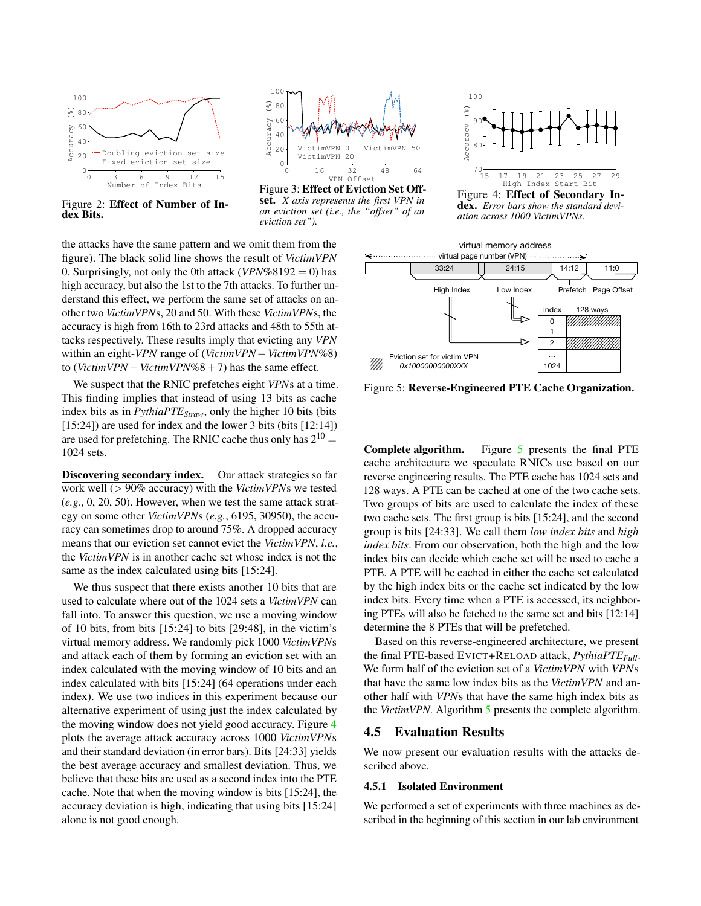

<span id="page-6-1"></span>Figure 2: Effect of Number of Index Bits.



<span id="page-6-2"></span>Figure 3: Effect of Eviction Set Offset. *X axis represents the first VPN in an eviction set (i.e., the "offset" of an eviction set").*

the attacks have the same pattern and we omit them from the figure). The black solid line shows the result of *VictimVPN* 0. Surprisingly, not only the 0th attack ( $VPN\%8192 = 0$ ) has high accuracy, but also the 1st to the 7th attacks. To further understand this effect, we perform the same set of attacks on another two *VictimVPN*s, 20 and 50. With these *VictimVPN*s, the accuracy is high from 16th to 23rd attacks and 48th to 55th attacks respectively. These results imply that evicting any *VPN* within an eight-*VPN* range of (*VictimVPN*−*VictimVPN*%8) to (*VictimVPN*−*VictimVPN*%8+7) has the same effect.

We suspect that the RNIC prefetches eight *VPN*s at a time. This finding implies that instead of using 13 bits as cache index bits as in *PythiaPTEStraw*, only the higher 10 bits (bits [15:24]) are used for index and the lower 3 bits (bits [12:14]) are used for prefetching. The RNIC cache thus only has  $2^{10} =$ 1024 sets.

Discovering secondary index. Our attack strategies so far work well (> 90% accuracy) with the *VictimVPN*s we tested (*e.g.*, 0, 20, 50). However, when we test the same attack strategy on some other *VictimVPN*s (*e.g.*, 6195, 30950), the accuracy can sometimes drop to around 75%. A dropped accuracy means that our eviction set cannot evict the *VictimVPN*, *i.e.*, the *VictimVPN* is in another cache set whose index is not the same as the index calculated using bits [15:24].

We thus suspect that there exists another 10 bits that are used to calculate where out of the 1024 sets a *VictimVPN* can fall into. To answer this question, we use a moving window of 10 bits, from bits [15:24] to bits [29:48], in the victim's virtual memory address. We randomly pick 1000 *VictimVPN*s and attack each of them by forming an eviction set with an index calculated with the moving window of 10 bits and an index calculated with bits [15:24] (64 operations under each index). We use two indices in this experiment because our alternative experiment of using just the index calculated by the moving window does not yield good accuracy. Figure [4](#page-6-3) plots the average attack accuracy across 1000 *VictimVPN*s and their standard deviation (in error bars). Bits [24:33] yields the best average accuracy and smallest deviation. Thus, we believe that these bits are used as a second index into the PTE cache. Note that when the moving window is bits [15:24], the accuracy deviation is high, indicating that using bits [15:24] alone is not good enough.



<span id="page-6-3"></span>Figure 4: Effect of Secondary Index. *Error bars show the standard deviation across 1000 VictimVPNs.*



<span id="page-6-4"></span>Figure 5: Reverse-Engineered PTE Cache Organization.

Complete algorithm. Figure [5](#page-6-4) presents the final PTE cache architecture we speculate RNICs use based on our reverse engineering results. The PTE cache has 1024 sets and 128 ways. A PTE can be cached at one of the two cache sets. Two groups of bits are used to calculate the index of these two cache sets. The first group is bits [15:24], and the second group is bits [24:33]. We call them *low index bits* and *high index bits*. From our observation, both the high and the low index bits can decide which cache set will be used to cache a PTE. A PTE will be cached in either the cache set calculated by the high index bits or the cache set indicated by the low index bits. Every time when a PTE is accessed, its neighboring PTEs will also be fetched to the same set and bits [12:14] determine the 8 PTEs that will be prefetched.

Based on this reverse-engineered architecture, we present the final PTE-based EVICT+RELOAD attack, *PythiaPTEFull*. We form half of the eviction set of a *VictimVPN* with *VPN*s that have the same low index bits as the *VictimVPN* and another half with *VPN*s that have the same high index bits as the *VictimVPN*. Algorithm [5](#page-7-0) presents the complete algorithm.

### <span id="page-6-0"></span>4.5 Evaluation Results

We now present our evaluation results with the attacks described above.

### <span id="page-6-5"></span>4.5.1 Isolated Environment

We performed a set of experiments with three machines as described in the beginning of this section in our lab environment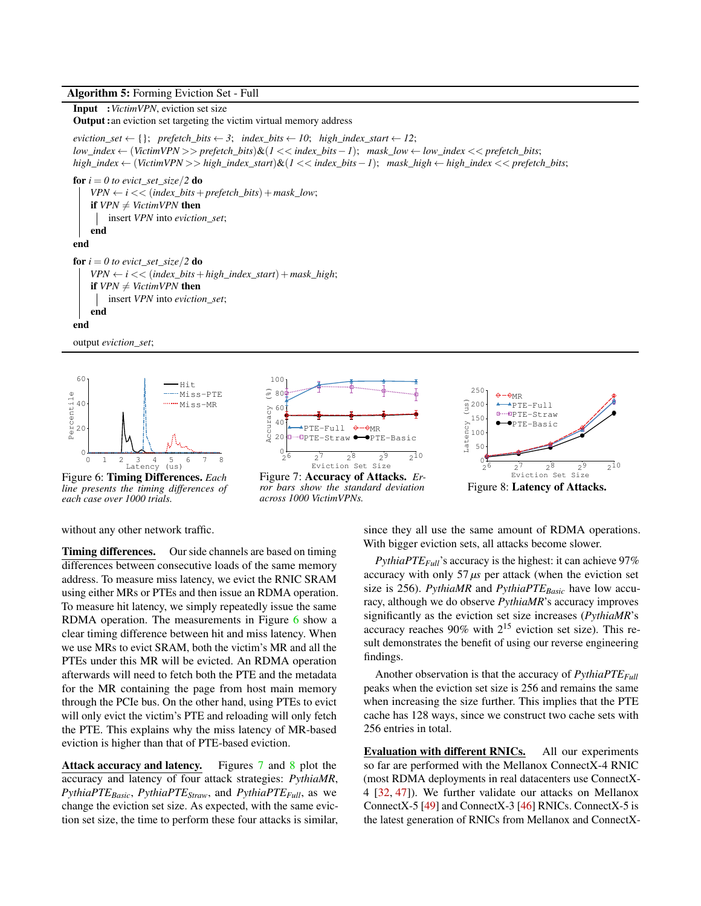### Algorithm 5: Forming Eviction Set - Full

### <span id="page-7-0"></span>Input :*VictimVPN*, eviction set size

Output :an eviction set targeting the victim virtual memory address

 $e$ *viction\_set*  $\leftarrow$  {}; *prefetch\_bits*  $\leftarrow$  *3*; *index\_bits*  $\leftarrow$  *10*; *high\_index\_start*  $\leftarrow$  *12*; *low*\_*index* ← (*VictimVPN* >> *prefetch*\_*bits*)&(*1* << *index*\_*bits*−*1*); *mask*\_*low* ← *low*\_*index* << *prefetch*\_*bits*; *high*\_*index* ← (*VictimVPN* >> *high*\_*index*\_*start*)&(*1* << *index*\_*bits*−*1*); *mask*\_*high* ← *high*\_*index* << *prefetch*\_*bits*;

for  $i = 0$  to evict\_set\_size/2 do  $VPN \leftarrow i \ll (index\_bits + prefetch\_bits) + mask\_low;$ if  $VPN \neq VictimVPN$  then insert *VPN* into *eviction\_set*; end end for  $i = 0$  to evict\_set\_size/2 do  $VPN \leftarrow i \ll (index\_bits + high\_index\_start) + mask\_high;$ if  $VPN \neq VictimVPN$  then insert *VPN* into *eviction\_set*; end end



output *eviction\_set*;

<span id="page-7-1"></span>Figure 6: Timing Differences. *Each line presents the timing differences of each case over 1000 trials.*



<span id="page-7-2"></span>Figure 7: Accuracy of Attacks. *Error bars show the standard deviation across 1000 VictimVPNs.*



<span id="page-7-3"></span>Figure 8: Latency of Attacks.

without any other network traffic.

Timing differences. Our side channels are based on timing differences between consecutive loads of the same memory address. To measure miss latency, we evict the RNIC SRAM using either MRs or PTEs and then issue an RDMA operation. To measure hit latency, we simply repeatedly issue the same RDMA operation. The measurements in Figure [6](#page-7-1) show a clear timing difference between hit and miss latency. When we use MRs to evict SRAM, both the victim's MR and all the PTEs under this MR will be evicted. An RDMA operation afterwards will need to fetch both the PTE and the metadata for the MR containing the page from host main memory through the PCIe bus. On the other hand, using PTEs to evict will only evict the victim's PTE and reloading will only fetch the PTE. This explains why the miss latency of MR-based eviction is higher than that of PTE-based eviction.

Attack accuracy and latency. Figures [7](#page-7-2) and [8](#page-7-3) plot the accuracy and latency of four attack strategies: *PythiaMR*, *PythiaPTEBasic*, *PythiaPTEStraw*, and *PythiaPTEFull*, as we change the eviction set size. As expected, with the same eviction set size, the time to perform these four attacks is similar, since they all use the same amount of RDMA operations. With bigger eviction sets, all attacks become slower.

*PythiaPTE* $_{Full}$ 's accuracy is the highest: it can achieve 97% accuracy with only  $57 \mu s$  per attack (when the eviction set size is 256). *PythiaMR* and *PythiaPTEBasic* have low accuracy, although we do observe *PythiaMR*'s accuracy improves significantly as the eviction set size increases (*PythiaMR*'s accuracy reaches  $90\%$  with  $2^{15}$  eviction set size). This result demonstrates the benefit of using our reverse engineering findings.

Another observation is that the accuracy of *PythiaPTEFull* peaks when the eviction set size is 256 and remains the same when increasing the size further. This implies that the PTE cache has 128 ways, since we construct two cache sets with 256 entries in total.

Evaluation with different RNICs. All our experiments so far are performed with the Mellanox ConnectX-4 RNIC (most RDMA deployments in real datacenters use ConnectX-4 [\[32,](#page-14-0) [47\]](#page-15-16)). We further validate our attacks on Mellanox ConnectX-5 [\[49\]](#page-15-17) and ConnectX-3 [\[46\]](#page-15-18) RNICs. ConnectX-5 is the latest generation of RNICs from Mellanox and ConnectX-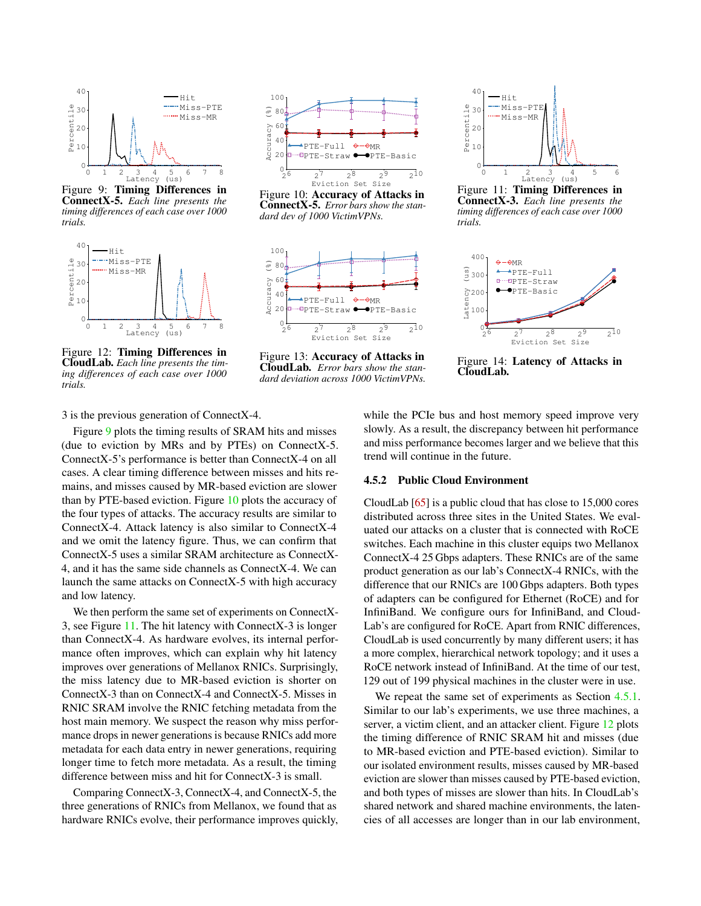

<span id="page-8-0"></span>Figure 9: Timing Differences in ConnectX-5. *Each line presents the timing differences of each case over 1000 trials.*



<span id="page-8-3"></span>Figure 12: Timing Differences in CloudLab. *Each line presents the timing differences of each case over 1000 trials.*



<span id="page-8-1"></span>Figure 10: Accuracy of Attacks in ConnectX-5. *Error bars show the standard dev of 1000 VictimVPNs.*



<span id="page-8-4"></span>Figure 13: Accuracy of Attacks in CloudLab. *Error bars show the standard deviation across 1000 VictimVPNs.*



<span id="page-8-2"></span>Figure 11: Timing Differences in ConnectX-3. *Each line presents the timing differences of each case over 1000 trials.*



<span id="page-8-5"></span>Figure 14: Latency of Attacks in CloudLab.

3 is the previous generation of ConnectX-4.

Figure [9](#page-8-0) plots the timing results of SRAM hits and misses (due to eviction by MRs and by PTEs) on ConnectX-5. ConnectX-5's performance is better than ConnectX-4 on all cases. A clear timing difference between misses and hits remains, and misses caused by MR-based eviction are slower than by PTE-based eviction. Figure [10](#page-8-1) plots the accuracy of the four types of attacks. The accuracy results are similar to ConnectX-4. Attack latency is also similar to ConnectX-4 and we omit the latency figure. Thus, we can confirm that ConnectX-5 uses a similar SRAM architecture as ConnectX-4, and it has the same side channels as ConnectX-4. We can launch the same attacks on ConnectX-5 with high accuracy and low latency.

We then perform the same set of experiments on ConnectX-3, see Figure [11.](#page-8-2) The hit latency with ConnectX-3 is longer than ConnectX-4. As hardware evolves, its internal performance often improves, which can explain why hit latency improves over generations of Mellanox RNICs. Surprisingly, the miss latency due to MR-based eviction is shorter on ConnectX-3 than on ConnectX-4 and ConnectX-5. Misses in RNIC SRAM involve the RNIC fetching metadata from the host main memory. We suspect the reason why miss performance drops in newer generations is because RNICs add more metadata for each data entry in newer generations, requiring longer time to fetch more metadata. As a result, the timing difference between miss and hit for ConnectX-3 is small.

Comparing ConnectX-3, ConnectX-4, and ConnectX-5, the three generations of RNICs from Mellanox, we found that as hardware RNICs evolve, their performance improves quickly, while the PCIe bus and host memory speed improve very slowly. As a result, the discrepancy between hit performance and miss performance becomes larger and we believe that this trend will continue in the future.

#### 4.5.2 Public Cloud Environment

CloudLab [\[65\]](#page-16-5) is a public cloud that has close to 15,000 cores distributed across three sites in the United States. We evaluated our attacks on a cluster that is connected with RoCE switches. Each machine in this cluster equips two Mellanox ConnectX-4 25 Gbps adapters. These RNICs are of the same product generation as our lab's ConnectX-4 RNICs, with the difference that our RNICs are 100 Gbps adapters. Both types of adapters can be configured for Ethernet (RoCE) and for InfiniBand. We configure ours for InfiniBand, and Cloud-Lab's are configured for RoCE. Apart from RNIC differences, CloudLab is used concurrently by many different users; it has a more complex, hierarchical network topology; and it uses a RoCE network instead of InfiniBand. At the time of our test, 129 out of 199 physical machines in the cluster were in use.

We repeat the same set of experiments as Section [4.5.1.](#page-6-5) Similar to our lab's experiments, we use three machines, a server, a victim client, and an attacker client. Figure [12](#page-8-3) plots the timing difference of RNIC SRAM hit and misses (due to MR-based eviction and PTE-based eviction). Similar to our isolated environment results, misses caused by MR-based eviction are slower than misses caused by PTE-based eviction, and both types of misses are slower than hits. In CloudLab's shared network and shared machine environments, the latencies of all accesses are longer than in our lab environment,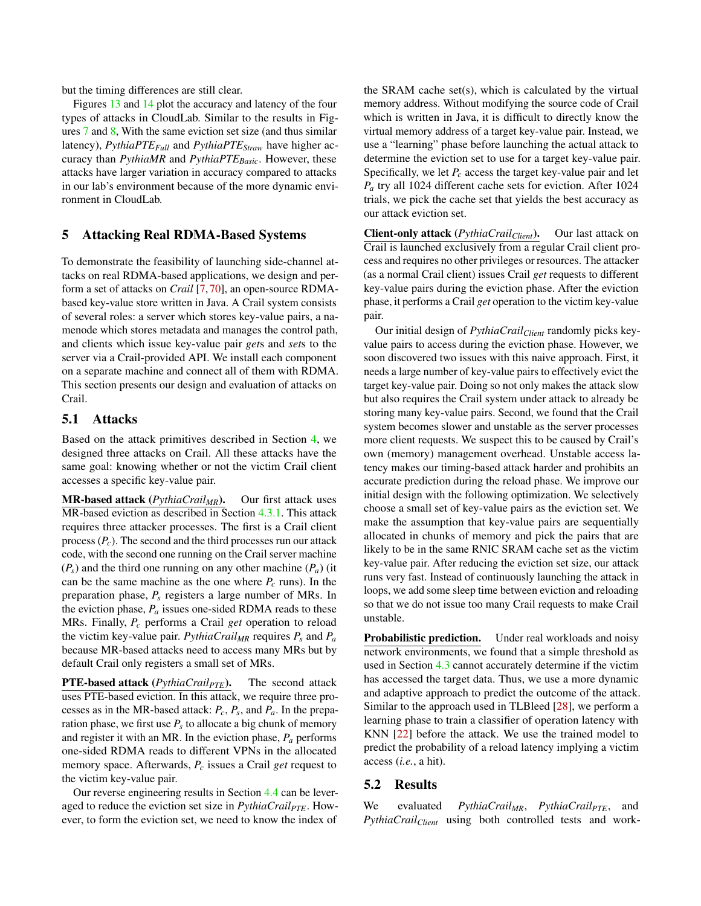but the timing differences are still clear.

Figures [13](#page-8-4) and [14](#page-8-5) plot the accuracy and latency of the four types of attacks in CloudLab. Similar to the results in Figures [7](#page-7-2) and [8,](#page-7-3) With the same eviction set size (and thus similar latency), *PythiaPTEFull* and *PythiaPTEStraw* have higher accuracy than *PythiaMR* and *PythiaPTEBasic*. However, these attacks have larger variation in accuracy compared to attacks in our lab's environment because of the more dynamic environment in CloudLab.

### <span id="page-9-1"></span>5 Attacking Real RDMA-Based Systems

To demonstrate the feasibility of launching side-channel attacks on real RDMA-based applications, we design and perform a set of attacks on *Crail* [\[7,](#page-13-1) [70\]](#page-16-6), an open-source RDMAbased key-value store written in Java. A Crail system consists of several roles: a server which stores key-value pairs, a namenode which stores metadata and manages the control path, and clients which issue key-value pair *get*s and *set*s to the server via a Crail-provided API. We install each component on a separate machine and connect all of them with RDMA. This section presents our design and evaluation of attacks on Crail.

#### <span id="page-9-0"></span>5.1 Attacks

Based on the attack primitives described in Section [4,](#page-3-0) we designed three attacks on Crail. All these attacks have the same goal: knowing whether or not the victim Crail client accesses a specific key-value pair.

MR-based attack (*PythiaCrailMR*). Our first attack uses MR-based eviction as described in Section [4.3.1.](#page-4-4) This attack requires three attacker processes. The first is a Crail client process (*Pc*). The second and the third processes run our attack code, with the second one running on the Crail server machine  $(P_s)$  and the third one running on any other machine  $(P_a)$  (it can be the same machine as the one where  $P_c$  runs). In the preparation phase, *P<sup>s</sup>* registers a large number of MRs. In the eviction phase,  $P_a$  issues one-sided RDMA reads to these MRs. Finally, *P<sup>c</sup>* performs a Crail *get* operation to reload the victim key-value pair. *PythiaCrail<sub>MR</sub>* requires  $P_s$  and  $P_a$ because MR-based attacks need to access many MRs but by default Crail only registers a small set of MRs.

PTE-based attack (*PythiaCrailPTE*). The second attack uses PTE-based eviction. In this attack, we require three processes as in the MR-based attack: *Pc*, *P<sup>s</sup>* , and *Pa*. In the preparation phase, we first use  $P_s$  to allocate a big chunk of memory and register it with an MR. In the eviction phase, *P<sup>a</sup>* performs one-sided RDMA reads to different VPNs in the allocated memory space. Afterwards, *P<sup>c</sup>* issues a Crail *get* request to the victim key-value pair.

Our reverse engineering results in Section [4.4](#page-5-0) can be leveraged to reduce the eviction set size in *PythiaCrailPTE*. However, to form the eviction set, we need to know the index of

the SRAM cache set(s), which is calculated by the virtual memory address. Without modifying the source code of Crail which is written in Java, it is difficult to directly know the virtual memory address of a target key-value pair. Instead, we use a "learning" phase before launching the actual attack to determine the eviction set to use for a target key-value pair. Specifically, we let  $P_c$  access the target key-value pair and let *P<sup>a</sup>* try all 1024 different cache sets for eviction. After 1024 trials, we pick the cache set that yields the best accuracy as our attack eviction set.

Client-only attack (*PythiaCrailClient*). Our last attack on Crail is launched exclusively from a regular Crail client process and requires no other privileges or resources. The attacker (as a normal Crail client) issues Crail *get* requests to different key-value pairs during the eviction phase. After the eviction phase, it performs a Crail *get* operation to the victim key-value pair.

Our initial design of *PythiaCrailClient* randomly picks keyvalue pairs to access during the eviction phase. However, we soon discovered two issues with this naive approach. First, it needs a large number of key-value pairs to effectively evict the target key-value pair. Doing so not only makes the attack slow but also requires the Crail system under attack to already be storing many key-value pairs. Second, we found that the Crail system becomes slower and unstable as the server processes more client requests. We suspect this to be caused by Crail's own (memory) management overhead. Unstable access latency makes our timing-based attack harder and prohibits an accurate prediction during the reload phase. We improve our initial design with the following optimization. We selectively choose a small set of key-value pairs as the eviction set. We make the assumption that key-value pairs are sequentially allocated in chunks of memory and pick the pairs that are likely to be in the same RNIC SRAM cache set as the victim key-value pair. After reducing the eviction set size, our attack runs very fast. Instead of continuously launching the attack in loops, we add some sleep time between eviction and reloading so that we do not issue too many Crail requests to make Crail unstable.

**Probabilistic prediction.** Under real workloads and noisy network environments, we found that a simple threshold as used in Section [4.3](#page-3-1) cannot accurately determine if the victim has accessed the target data. Thus, we use a more dynamic and adaptive approach to predict the outcome of the attack. Similar to the approach used in TLBleed [\[28\]](#page-14-8), we perform a learning phase to train a classifier of operation latency with KNN [\[22\]](#page-14-7) before the attack. We use the trained model to predict the probability of a reload latency implying a victim access (*i.e.*, a hit).

### 5.2 Results

We evaluated *PythiaCrail<sub>MR</sub>*, *PythiaCrail<sub>PTE</sub>*, and *PythiaCrail<sub>Client</sub>* using both controlled tests and work-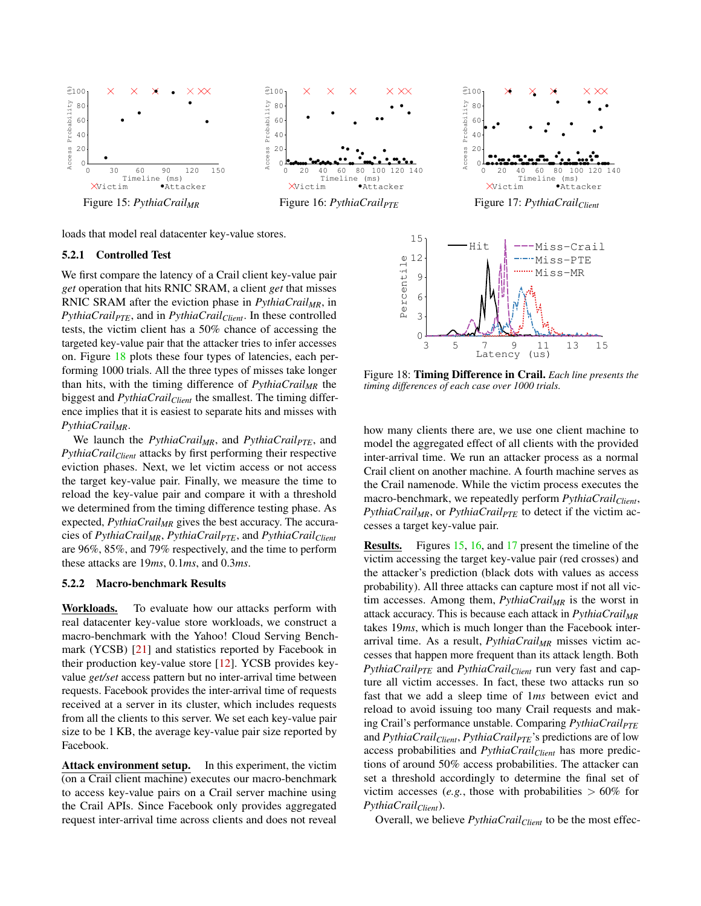

<span id="page-10-1"></span>loads that model real datacenter key-value stores.

#### 5.2.1 Controlled Test

We first compare the latency of a Crail client key-value pair *get* operation that hits RNIC SRAM, a client *get* that misses RNIC SRAM after the eviction phase in *PythiaCrailMR*, in *PythiaCrailPTE*, and in *PythiaCrailClient*. In these controlled tests, the victim client has a 50% chance of accessing the targeted key-value pair that the attacker tries to infer accesses on. Figure [18](#page-10-0) plots these four types of latencies, each performing 1000 trials. All the three types of misses take longer than hits, with the timing difference of *PythiaCrailMR* the biggest and *PythiaCrail<sub>Client</sub>* the smallest. The timing difference implies that it is easiest to separate hits and misses with *PythiaCrailMR*.

We launch the *PythiaCrailMR*, and *PythiaCrailPTE*, and *PythiaCrailClient* attacks by first performing their respective eviction phases. Next, we let victim access or not access the target key-value pair. Finally, we measure the time to reload the key-value pair and compare it with a threshold we determined from the timing difference testing phase. As expected, *PythiaCrailMR* gives the best accuracy. The accuracies of *PythiaCrailMR*, *PythiaCrailPTE*, and *PythiaCrailClient* are 96%, 85%, and 79% respectively, and the time to perform these attacks are 19*ms*, 0.1*ms*, and 0.3*ms*.

#### 5.2.2 Macro-benchmark Results

Workloads. To evaluate how our attacks perform with real datacenter key-value store workloads, we construct a macro-benchmark with the Yahoo! Cloud Serving Benchmark (YCSB) [\[21\]](#page-14-13) and statistics reported by Facebook in their production key-value store [\[12\]](#page-13-11). YCSB provides keyvalue *get/set* access pattern but no inter-arrival time between requests. Facebook provides the inter-arrival time of requests received at a server in its cluster, which includes requests from all the clients to this server. We set each key-value pair size to be 1 KB, the average key-value pair size reported by Facebook.

Attack environment setup. In this experiment, the victim (on a Crail client machine) executes our macro-benchmark to access key-value pairs on a Crail server machine using the Crail APIs. Since Facebook only provides aggregated request inter-arrival time across clients and does not reveal

<span id="page-10-3"></span><span id="page-10-2"></span>

Figure 18: Timing Difference in Crail. *Each line presents the timing differences of each case over 1000 trials.*

 $0\frac{L}{3}$ 

<span id="page-10-0"></span>Latency (us) 3 5 7 9 11 13 15

how many clients there are, we use one client machine to model the aggregated effect of all clients with the provided inter-arrival time. We run an attacker process as a normal Crail client on another machine. A fourth machine serves as the Crail namenode. While the victim process executes the macro-benchmark, we repeatedly perform *PythiaCrailClient*, *PythiaCrail<sub>MR</sub>*, or *PythiaCrail<sub>PTE</sub>* to detect if the victim accesses a target key-value pair.

Results. Figures [15,](#page-10-1) [16,](#page-10-2) and [17](#page-10-3) present the timeline of the victim accessing the target key-value pair (red crosses) and the attacker's prediction (black dots with values as access probability). All three attacks can capture most if not all victim accesses. Among them, *PythiaCrailMR* is the worst in attack accuracy. This is because each attack in *PythiaCrailMR* takes 19*ms*, which is much longer than the Facebook interarrival time. As a result, *PythiaCrailMR* misses victim accesses that happen more frequent than its attack length. Both *PythiaCrail<sub>PTE</sub>* and *PythiaCrail<sub>Client</sub>* run very fast and capture all victim accesses. In fact, these two attacks run so fast that we add a sleep time of 1*ms* between evict and reload to avoid issuing too many Crail requests and making Crail's performance unstable. Comparing *PythiaCrailPTE* and *PythiaCrail<sub>Client</sub>*, *PythiaCrail<sub>PTE</sub>*'s predictions are of low access probabilities and *PythiaCrailClient* has more predictions of around 50% access probabilities. The attacker can set a threshold accordingly to determine the final set of victim accesses (*e.g.*, those with probabilities  $> 60\%$  for *PythiaCrailClient*).

Overall, we believe *PythiaCrail<sub>Client</sub>* to be the most effec-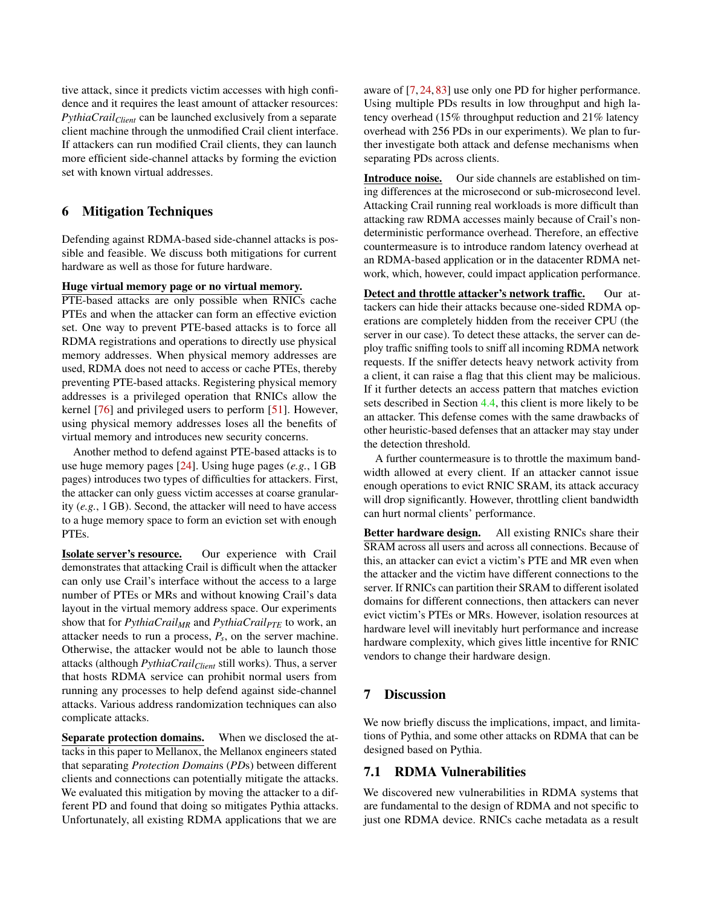tive attack, since it predicts victim accesses with high confidence and it requires the least amount of attacker resources: *PythiaCrail<sub>Client</sub>* can be launched exclusively from a separate client machine through the unmodified Crail client interface. If attackers can run modified Crail clients, they can launch more efficient side-channel attacks by forming the eviction set with known virtual addresses.

# 6 Mitigation Techniques

Defending against RDMA-based side-channel attacks is possible and feasible. We discuss both mitigations for current hardware as well as those for future hardware.

#### Huge virtual memory page or no virtual memory.

PTE-based attacks are only possible when RNICs cache PTEs and when the attacker can form an effective eviction set. One way to prevent PTE-based attacks is to force all RDMA registrations and operations to directly use physical memory addresses. When physical memory addresses are used, RDMA does not need to access or cache PTEs, thereby preventing PTE-based attacks. Registering physical memory addresses is a privileged operation that RNICs allow the kernel [\[76\]](#page-16-14) and privileged users to perform [\[51\]](#page-15-19). However, using physical memory addresses loses all the benefits of virtual memory and introduces new security concerns.

Another method to defend against PTE-based attacks is to use huge memory pages [\[24\]](#page-14-1). Using huge pages (*e.g.*, 1 GB pages) introduces two types of difficulties for attackers. First, the attacker can only guess victim accesses at coarse granularity (*e.g.*, 1 GB). Second, the attacker will need to have access to a huge memory space to form an eviction set with enough PTEs.

Isolate server's resource. Our experience with Crail demonstrates that attacking Crail is difficult when the attacker can only use Crail's interface without the access to a large number of PTEs or MRs and without knowing Crail's data layout in the virtual memory address space. Our experiments show that for *PythiaCrailMR* and *PythiaCrailPTE* to work, an attacker needs to run a process, *P<sup>s</sup>* , on the server machine. Otherwise, the attacker would not be able to launch those attacks (although *PythiaCrailClient* still works). Thus, a server that hosts RDMA service can prohibit normal users from running any processes to help defend against side-channel attacks. Various address randomization techniques can also complicate attacks.

Separate protection domains. When we disclosed the attacks in this paper to Mellanox, the Mellanox engineers stated that separating *Protection Domain*s (*PD*s) between different clients and connections can potentially mitigate the attacks. We evaluated this mitigation by moving the attacker to a different PD and found that doing so mitigates Pythia attacks. Unfortunately, all existing RDMA applications that we are

aware of [\[7,](#page-13-1) [24,](#page-14-1) [83\]](#page-16-1) use only one PD for higher performance. Using multiple PDs results in low throughput and high latency overhead (15% throughput reduction and 21% latency overhead with 256 PDs in our experiments). We plan to further investigate both attack and defense mechanisms when separating PDs across clients.

Introduce noise. Our side channels are established on timing differences at the microsecond or sub-microsecond level. Attacking Crail running real workloads is more difficult than attacking raw RDMA accesses mainly because of Crail's nondeterministic performance overhead. Therefore, an effective countermeasure is to introduce random latency overhead at an RDMA-based application or in the datacenter RDMA network, which, however, could impact application performance.

Detect and throttle attacker's network traffic. Our attackers can hide their attacks because one-sided RDMA operations are completely hidden from the receiver CPU (the server in our case). To detect these attacks, the server can deploy traffic sniffing tools to sniff all incoming RDMA network requests. If the sniffer detects heavy network activity from a client, it can raise a flag that this client may be malicious. If it further detects an access pattern that matches eviction sets described in Section [4.4,](#page-5-0) this client is more likely to be an attacker. This defense comes with the same drawbacks of other heuristic-based defenses that an attacker may stay under the detection threshold.

A further countermeasure is to throttle the maximum bandwidth allowed at every client. If an attacker cannot issue enough operations to evict RNIC SRAM, its attack accuracy will drop significantly. However, throttling client bandwidth can hurt normal clients' performance.

Better hardware design. All existing RNICs share their SRAM across all users and across all connections. Because of this, an attacker can evict a victim's PTE and MR even when the attacker and the victim have different connections to the server. If RNICs can partition their SRAM to different isolated domains for different connections, then attackers can never evict victim's PTEs or MRs. However, isolation resources at hardware level will inevitably hurt performance and increase hardware complexity, which gives little incentive for RNIC vendors to change their hardware design.

## <span id="page-11-0"></span>7 Discussion

We now briefly discuss the implications, impact, and limitations of Pythia, and some other attacks on RDMA that can be designed based on Pythia.

### 7.1 RDMA Vulnerabilities

We discovered new vulnerabilities in RDMA systems that are fundamental to the design of RDMA and not specific to just one RDMA device. RNICs cache metadata as a result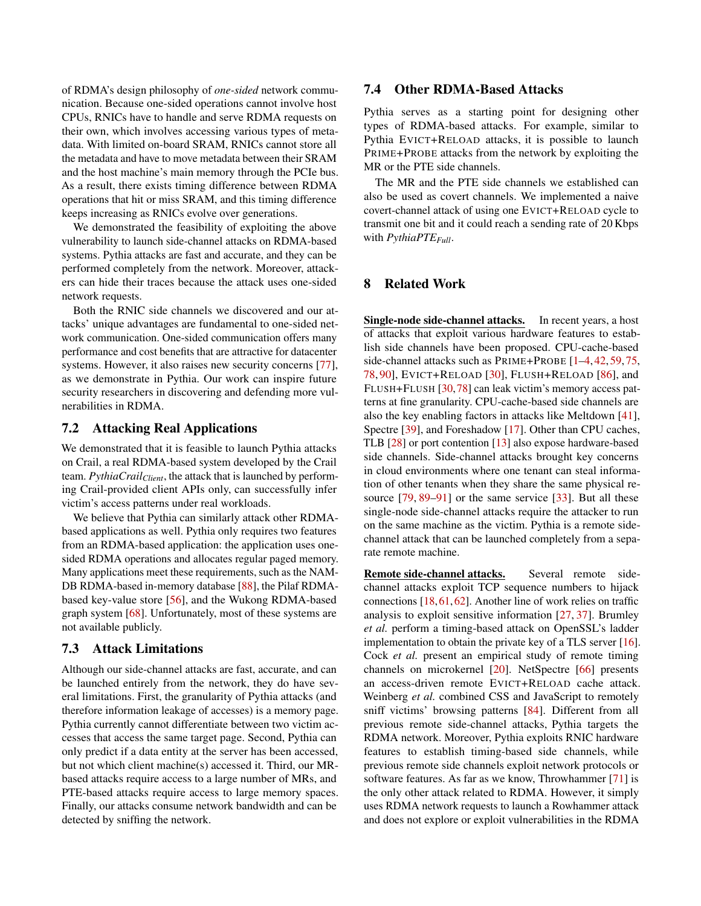of RDMA's design philosophy of *one-sided* network communication. Because one-sided operations cannot involve host CPUs, RNICs have to handle and serve RDMA requests on their own, which involves accessing various types of metadata. With limited on-board SRAM, RNICs cannot store all the metadata and have to move metadata between their SRAM and the host machine's main memory through the PCIe bus. As a result, there exists timing difference between RDMA operations that hit or miss SRAM, and this timing difference keeps increasing as RNICs evolve over generations.

We demonstrated the feasibility of exploiting the above vulnerability to launch side-channel attacks on RDMA-based systems. Pythia attacks are fast and accurate, and they can be performed completely from the network. Moreover, attackers can hide their traces because the attack uses one-sided network requests.

Both the RNIC side channels we discovered and our attacks' unique advantages are fundamental to one-sided network communication. One-sided communication offers many performance and cost benefits that are attractive for datacenter systems. However, it also raises new security concerns [\[77\]](#page-16-4), as we demonstrate in Pythia. Our work can inspire future security researchers in discovering and defending more vulnerabilities in RDMA.

## 7.2 Attacking Real Applications

We demonstrated that it is feasible to launch Pythia attacks on Crail, a real RDMA-based system developed by the Crail team. *PythiaCrail<sub>Client</sub>*, the attack that is launched by performing Crail-provided client APIs only, can successfully infer victim's access patterns under real workloads.

We believe that Pythia can similarly attack other RDMAbased applications as well. Pythia only requires two features from an RDMA-based application: the application uses onesided RDMA operations and allocates regular paged memory. Many applications meet these requirements, such as the NAM-DB RDMA-based in-memory database [\[88\]](#page-17-0), the Pilaf RDMAbased key-value store [\[56\]](#page-15-1), and the Wukong RDMA-based graph system [\[68\]](#page-16-2). Unfortunately, most of these systems are not available publicly.

## 7.3 Attack Limitations

Although our side-channel attacks are fast, accurate, and can be launched entirely from the network, they do have several limitations. First, the granularity of Pythia attacks (and therefore information leakage of accesses) is a memory page. Pythia currently cannot differentiate between two victim accesses that access the same target page. Second, Pythia can only predict if a data entity at the server has been accessed, but not which client machine(s) accessed it. Third, our MRbased attacks require access to a large number of MRs, and PTE-based attacks require access to large memory spaces. Finally, our attacks consume network bandwidth and can be detected by sniffing the network.

## 7.4 Other RDMA-Based Attacks

Pythia serves as a starting point for designing other types of RDMA-based attacks. For example, similar to Pythia EVICT+RELOAD attacks, it is possible to launch PRIME+PROBE attacks from the network by exploiting the MR or the PTE side channels.

The MR and the PTE side channels we established can also be used as covert channels. We implemented a naive covert-channel attack of using one EVICT+RELOAD cycle to transmit one bit and it could reach a sending rate of 20 Kbps with *PythiaPTEFull*.

### 8 Related Work

Single-node side-channel attacks. In recent years, a host of attacks that exploit various hardware features to establish side channels have been proposed. CPU-cache-based side-channel attacks such as PRIME+PROBE [\[1–](#page-13-9)[4,](#page-13-10) [42,](#page-15-5) [59,](#page-15-13) [75,](#page-16-13) [78,](#page-16-15) [90\]](#page-17-4), EVICT+RELOAD [\[30\]](#page-14-6), FLUSH+RELOAD [\[86\]](#page-17-1), and FLUSH+FLUSH [\[30,](#page-14-6)[78\]](#page-16-15) can leak victim's memory access patterns at fine granularity. CPU-cache-based side channels are also the key enabling factors in attacks like Meltdown [\[41\]](#page-15-4), Spectre [\[39\]](#page-15-3), and Foreshadow [\[17\]](#page-14-4). Other than CPU caches, TLB [\[28\]](#page-14-8) or port contention [\[13\]](#page-13-12) also expose hardware-based side channels. Side-channel attacks brought key concerns in cloud environments where one tenant can steal information of other tenants when they share the same physical re-source [\[79,](#page-16-16) [89](#page-17-5)[–91\]](#page-17-6) or the same service [\[33\]](#page-14-14). But all these single-node side-channel attacks require the attacker to run on the same machine as the victim. Pythia is a remote sidechannel attack that can be launched completely from a separate remote machine.

Remote side-channel attacks. Several remote sidechannel attacks exploit TCP sequence numbers to hijack connections [\[18,](#page-14-15)[61,](#page-15-20)[62\]](#page-16-17). Another line of work relies on traffic analysis to exploit sensitive information [\[27,](#page-14-16) [37\]](#page-14-17). Brumley *et al.* perform a timing-based attack on OpenSSL's ladder implementation to obtain the private key of a TLS server [\[16\]](#page-13-13). Cock *et al.* present an empirical study of remote timing channels on microkernel [\[20\]](#page-14-18). NetSpectre [\[66\]](#page-16-18) presents an access-driven remote EVICT+RELOAD cache attack. Weinberg *et al.* combined CSS and JavaScript to remotely sniff victims' browsing patterns [\[84\]](#page-16-19). Different from all previous remote side-channel attacks, Pythia targets the RDMA network. Moreover, Pythia exploits RNIC hardware features to establish timing-based side channels, while previous remote side channels exploit network protocols or software features. As far as we know, Throwhammer [\[71\]](#page-16-20) is the only other attack related to RDMA. However, it simply uses RDMA network requests to launch a Rowhammer attack and does not explore or exploit vulnerabilities in the RDMA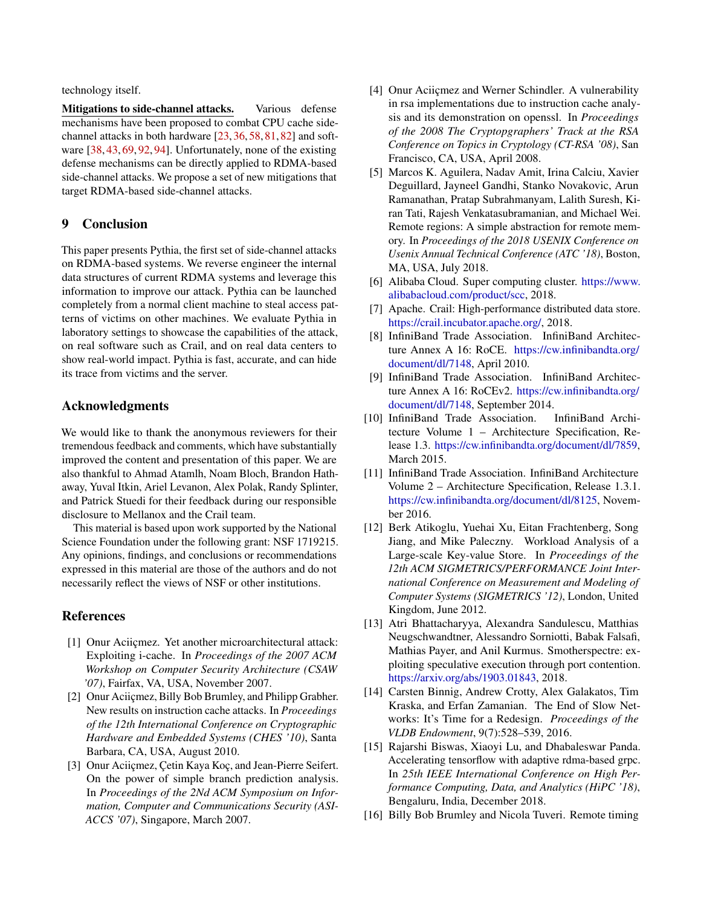technology itself.

Mitigations to side-channel attacks. Various defense mechanisms have been proposed to combat CPU cache sidechannel attacks in both hardware [\[23,](#page-14-19) [36,](#page-14-20) [58,](#page-15-21) [81,](#page-16-21) [82\]](#page-16-22) and software [\[38,](#page-15-22) [43,](#page-15-23) [69,](#page-16-23) [92,](#page-17-7) [94\]](#page-17-8). Unfortunately, none of the existing defense mechanisms can be directly applied to RDMA-based side-channel attacks. We propose a set of new mitigations that target RDMA-based side-channel attacks.

### 9 Conclusion

This paper presents Pythia, the first set of side-channel attacks on RDMA-based systems. We reverse engineer the internal data structures of current RDMA systems and leverage this information to improve our attack. Pythia can be launched completely from a normal client machine to steal access patterns of victims on other machines. We evaluate Pythia in laboratory settings to showcase the capabilities of the attack, on real software such as Crail, and on real data centers to show real-world impact. Pythia is fast, accurate, and can hide its trace from victims and the server.

### Acknowledgments

We would like to thank the anonymous reviewers for their tremendous feedback and comments, which have substantially improved the content and presentation of this paper. We are also thankful to Ahmad Atamlh, Noam Bloch, Brandon Hathaway, Yuval Itkin, Ariel Levanon, Alex Polak, Randy Splinter, and Patrick Stuedi for their feedback during our responsible disclosure to Mellanox and the Crail team.

This material is based upon work supported by the National Science Foundation under the following grant: NSF 1719215. Any opinions, findings, and conclusions or recommendations expressed in this material are those of the authors and do not necessarily reflect the views of NSF or other institutions.

### References

- <span id="page-13-9"></span>[1] Onur Aciiçmez. Yet another microarchitectural attack: Exploiting i-cache. In *Proceedings of the 2007 ACM Workshop on Computer Security Architecture (CSAW '07)*, Fairfax, VA, USA, November 2007.
- [2] Onur Aciiçmez, Billy Bob Brumley, and Philipp Grabher. New results on instruction cache attacks. In *Proceedings of the 12th International Conference on Cryptographic Hardware and Embedded Systems (CHES '10)*, Santa Barbara, CA, USA, August 2010.
- [3] Onur Aciiçmez, Çetin Kaya Koç, and Jean-Pierre Seifert. On the power of simple branch prediction analysis. In *Proceedings of the 2Nd ACM Symposium on Information, Computer and Communications Security (ASI-ACCS '07)*, Singapore, March 2007.
- <span id="page-13-10"></span>[4] Onur Aciiçmez and Werner Schindler. A vulnerability in rsa implementations due to instruction cache analysis and its demonstration on openssl. In *Proceedings of the 2008 The Cryptopgraphers' Track at the RSA Conference on Topics in Cryptology (CT-RSA '08)*, San Francisco, CA, USA, April 2008.
- <span id="page-13-7"></span>[5] Marcos K. Aguilera, Nadav Amit, Irina Calciu, Xavier Deguillard, Jayneel Gandhi, Stanko Novakovic, Arun Ramanathan, Pratap Subrahmanyam, Lalith Suresh, Kiran Tati, Rajesh Venkatasubramanian, and Michael Wei. Remote regions: A simple abstraction for remote memory. In *Proceedings of the 2018 USENIX Conference on Usenix Annual Technical Conference (ATC '18)*, Boston, MA, USA, July 2018.
- <span id="page-13-0"></span>[6] Alibaba Cloud. Super computing cluster. [https://www.](https://www.alibabacloud.com/product/scc) [alibabacloud.com/product/scc,](https://www.alibabacloud.com/product/scc) 2018.
- <span id="page-13-1"></span>[7] Apache. Crail: High-performance distributed data store. [https://crail.incubator.apache.org/,](https://crail.incubator.apache.org/) 2018.
- <span id="page-13-4"></span>[8] InfiniBand Trade Association. InfiniBand Architecture Annex A 16: RoCE. [https://cw.infinibandta.org/](https://cw.infinibandta.org/document/dl/7148) [document/dl/7148,](https://cw.infinibandta.org/document/dl/7148) April 2010.
- <span id="page-13-5"></span>[9] InfiniBand Trade Association. InfiniBand Architecture Annex A 16: RoCEv2. [https://cw.infinibandta.org/](https://cw.infinibandta.org/document/dl/7148) [document/dl/7148,](https://cw.infinibandta.org/document/dl/7148) September 2014.
- <span id="page-13-2"></span>[10] InfiniBand Trade Association. InfiniBand Architecture Volume 1 – Architecture Specification, Release 1.3. [https://cw.infinibandta.org/document/dl/7859,](https://cw.infinibandta.org/document/dl/7859) March 2015.
- <span id="page-13-3"></span>[11] InfiniBand Trade Association. InfiniBand Architecture Volume 2 – Architecture Specification, Release 1.3.1. [https://cw.infinibandta.org/document/dl/8125,](https://cw.infinibandta.org/document/dl/8125) November 2016.
- <span id="page-13-11"></span>[12] Berk Atikoglu, Yuehai Xu, Eitan Frachtenberg, Song Jiang, and Mike Paleczny. Workload Analysis of a Large-scale Key-value Store. In *Proceedings of the 12th ACM SIGMETRICS/PERFORMANCE Joint International Conference on Measurement and Modeling of Computer Systems (SIGMETRICS '12)*, London, United Kingdom, June 2012.
- <span id="page-13-12"></span>[13] Atri Bhattacharyya, Alexandra Sandulescu, Matthias Neugschwandtner, Alessandro Sorniotti, Babak Falsafi, Mathias Payer, and Anil Kurmus. Smotherspectre: exploiting speculative execution through port contention. [https://arxiv.org/abs/1903.01843,](https://arxiv.org/abs/1903.01843) 2018.
- <span id="page-13-8"></span>[14] Carsten Binnig, Andrew Crotty, Alex Galakatos, Tim Kraska, and Erfan Zamanian. The End of Slow Networks: It's Time for a Redesign. *Proceedings of the VLDB Endowment*, 9(7):528–539, 2016.
- <span id="page-13-6"></span>[15] Rajarshi Biswas, Xiaoyi Lu, and Dhabaleswar Panda. Accelerating tensorflow with adaptive rdma-based grpc. In *25th IEEE International Conference on High Performance Computing, Data, and Analytics (HiPC '18)*, Bengaluru, India, December 2018.
- <span id="page-13-13"></span>[16] Billy Bob Brumley and Nicola Tuveri. Remote timing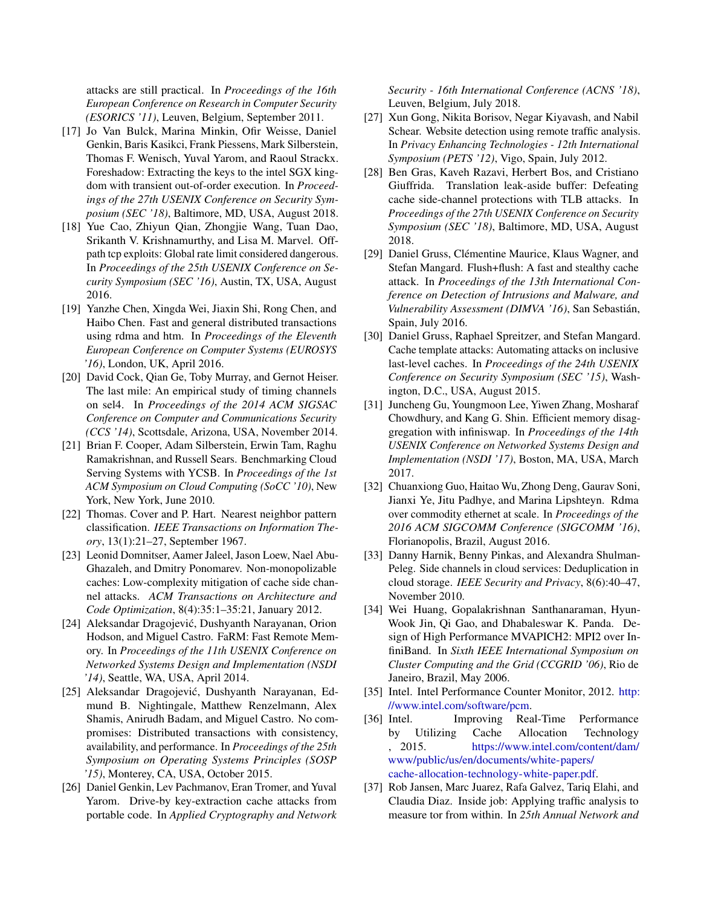attacks are still practical. In *Proceedings of the 16th European Conference on Research in Computer Security (ESORICS '11)*, Leuven, Belgium, September 2011.

- <span id="page-14-4"></span>[17] Jo Van Bulck, Marina Minkin, Ofir Weisse, Daniel Genkin, Baris Kasikci, Frank Piessens, Mark Silberstein, Thomas F. Wenisch, Yuval Yarom, and Raoul Strackx. Foreshadow: Extracting the keys to the intel SGX kingdom with transient out-of-order execution. In *Proceedings of the 27th USENIX Conference on Security Symposium (SEC '18)*, Baltimore, MD, USA, August 2018.
- <span id="page-14-15"></span>[18] Yue Cao, Zhiyun Qian, Zhongjie Wang, Tuan Dao, Srikanth V. Krishnamurthy, and Lisa M. Marvel. Offpath tcp exploits: Global rate limit considered dangerous. In *Proceedings of the 25th USENIX Conference on Security Symposium (SEC '16)*, Austin, TX, USA, August 2016.
- <span id="page-14-3"></span>[19] Yanzhe Chen, Xingda Wei, Jiaxin Shi, Rong Chen, and Haibo Chen. Fast and general distributed transactions using rdma and htm. In *Proceedings of the Eleventh European Conference on Computer Systems (EUROSYS '16)*, London, UK, April 2016.
- <span id="page-14-18"></span>[20] David Cock, Qian Ge, Toby Murray, and Gernot Heiser. The last mile: An empirical study of timing channels on sel4. In *Proceedings of the 2014 ACM SIGSAC Conference on Computer and Communications Security (CCS '14)*, Scottsdale, Arizona, USA, November 2014.
- <span id="page-14-13"></span>[21] Brian F. Cooper, Adam Silberstein, Erwin Tam, Raghu Ramakrishnan, and Russell Sears. Benchmarking Cloud Serving Systems with YCSB. In *Proceedings of the 1st ACM Symposium on Cloud Computing (SoCC '10)*, New York, New York, June 2010.
- <span id="page-14-7"></span>[22] Thomas. Cover and P. Hart. Nearest neighbor pattern classification. *IEEE Transactions on Information Theory*, 13(1):21–27, September 1967.
- <span id="page-14-19"></span>[23] Leonid Domnitser, Aamer Jaleel, Jason Loew, Nael Abu-Ghazaleh, and Dmitry Ponomarev. Non-monopolizable caches: Low-complexity mitigation of cache side channel attacks. *ACM Transactions on Architecture and Code Optimization*, 8(4):35:1–35:21, January 2012.
- <span id="page-14-1"></span>[24] Aleksandar Dragojević, Dushyanth Narayanan, Orion Hodson, and Miguel Castro. FaRM: Fast Remote Memory. In *Proceedings of the 11th USENIX Conference on Networked Systems Design and Implementation (NSDI '14)*, Seattle, WA, USA, April 2014.
- <span id="page-14-2"></span>[25] Aleksandar Dragojević, Dushyanth Narayanan, Edmund B. Nightingale, Matthew Renzelmann, Alex Shamis, Anirudh Badam, and Miguel Castro. No compromises: Distributed transactions with consistency, availability, and performance. In *Proceedings of the 25th Symposium on Operating Systems Principles (SOSP '15)*, Monterey, CA, USA, October 2015.
- <span id="page-14-5"></span>[26] Daniel Genkin, Lev Pachmanov, Eran Tromer, and Yuval Yarom. Drive-by key-extraction cache attacks from portable code. In *Applied Cryptography and Network*

*Security - 16th International Conference (ACNS '18)*, Leuven, Belgium, July 2018.

- <span id="page-14-16"></span>[27] Xun Gong, Nikita Borisov, Negar Kiyavash, and Nabil Schear. Website detection using remote traffic analysis. In *Privacy Enhancing Technologies - 12th International Symposium (PETS '12)*, Vigo, Spain, July 2012.
- <span id="page-14-8"></span>[28] Ben Gras, Kaveh Razavi, Herbert Bos, and Cristiano Giuffrida. Translation leak-aside buffer: Defeating cache side-channel protections with TLB attacks. In *Proceedings of the 27th USENIX Conference on Security Symposium (SEC '18)*, Baltimore, MD, USA, August 2018.
- <span id="page-14-11"></span>[29] Daniel Gruss, Clémentine Maurice, Klaus Wagner, and Stefan Mangard. Flush+flush: A fast and stealthy cache attack. In *Proceedings of the 13th International Conference on Detection of Intrusions and Malware, and Vulnerability Assessment (DIMVA '16)*, San Sebastián, Spain, July 2016.
- <span id="page-14-6"></span>[30] Daniel Gruss, Raphael Spreitzer, and Stefan Mangard. Cache template attacks: Automating attacks on inclusive last-level caches. In *Proceedings of the 24th USENIX Conference on Security Symposium (SEC '15)*, Washington, D.C., USA, August 2015.
- <span id="page-14-10"></span>[31] Juncheng Gu, Youngmoon Lee, Yiwen Zhang, Mosharaf Chowdhury, and Kang G. Shin. Efficient memory disaggregation with infiniswap. In *Proceedings of the 14th USENIX Conference on Networked Systems Design and Implementation (NSDI '17)*, Boston, MA, USA, March 2017.
- <span id="page-14-0"></span>[32] Chuanxiong Guo, Haitao Wu, Zhong Deng, Gaurav Soni, Jianxi Ye, Jitu Padhye, and Marina Lipshteyn. Rdma over commodity ethernet at scale. In *Proceedings of the 2016 ACM SIGCOMM Conference (SIGCOMM '16)*, Florianopolis, Brazil, August 2016.
- <span id="page-14-14"></span>[33] Danny Harnik, Benny Pinkas, and Alexandra Shulman-Peleg. Side channels in cloud services: Deduplication in cloud storage. *IEEE Security and Privacy*, 8(6):40–47, November 2010.
- <span id="page-14-9"></span>[34] Wei Huang, Gopalakrishnan Santhanaraman, Hyun-Wook Jin, Qi Gao, and Dhabaleswar K. Panda. Design of High Performance MVAPICH2: MPI2 over InfiniBand. In *Sixth IEEE International Symposium on Cluster Computing and the Grid (CCGRID '06)*, Rio de Janeiro, Brazil, May 2006.
- <span id="page-14-12"></span>[35] Intel. Intel Performance Counter Monitor, 2012. [http:](http://www.intel.com/software/pcm) [//www.intel.com/software/pcm.](http://www.intel.com/software/pcm)
- <span id="page-14-20"></span>[36] Intel. Improving Real-Time Performance by Utilizing Cache Allocation Technology , 2015. [https://www.intel.com/content/dam/](https://www.intel.com/content/dam/www/public/us/en/documents/white-papers/cache-allocation-technology-white-paper.pdf) [www/public/us/en/documents/white-papers/](https://www.intel.com/content/dam/www/public/us/en/documents/white-papers/cache-allocation-technology-white-paper.pdf) [cache-allocation-technology-white-paper.pdf.](https://www.intel.com/content/dam/www/public/us/en/documents/white-papers/cache-allocation-technology-white-paper.pdf)
- <span id="page-14-17"></span>[37] Rob Jansen, Marc Juarez, Rafa Galvez, Tariq Elahi, and Claudia Diaz. Inside job: Applying traffic analysis to measure tor from within. In *25th Annual Network and*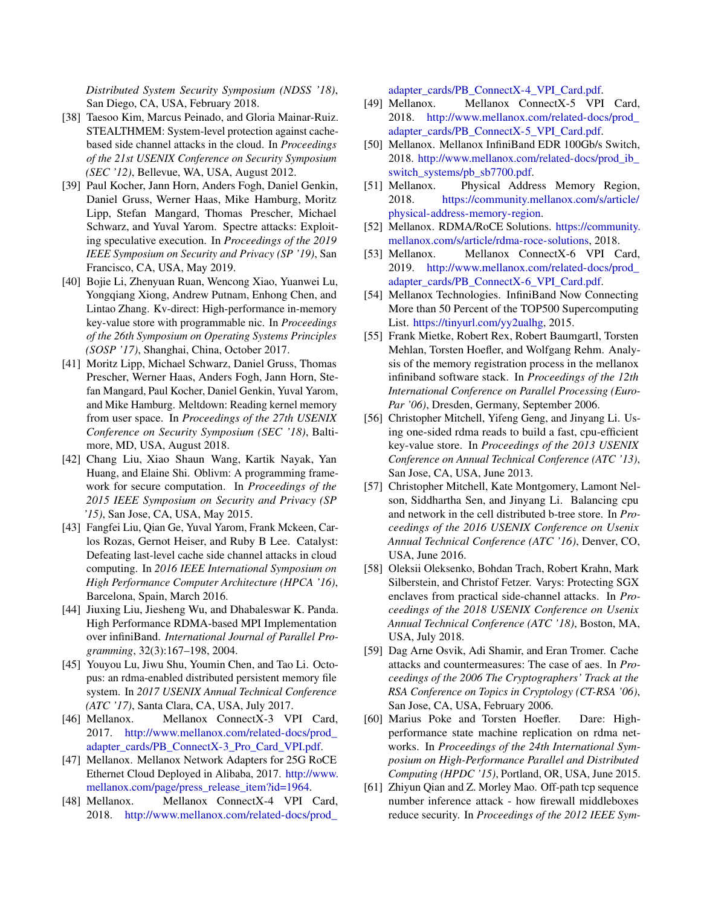*Distributed System Security Symposium (NDSS '18)*, San Diego, CA, USA, February 2018.

- <span id="page-15-22"></span>[38] Taesoo Kim, Marcus Peinado, and Gloria Mainar-Ruiz. STEALTHMEM: System-level protection against cachebased side channel attacks in the cloud. In *Proceedings of the 21st USENIX Conference on Security Symposium (SEC '12)*, Bellevue, WA, USA, August 2012.
- <span id="page-15-3"></span>[39] Paul Kocher, Jann Horn, Anders Fogh, Daniel Genkin, Daniel Gruss, Werner Haas, Mike Hamburg, Moritz Lipp, Stefan Mangard, Thomas Prescher, Michael Schwarz, and Yuval Yarom. Spectre attacks: Exploiting speculative execution. In *Proceedings of the 2019 IEEE Symposium on Security and Privacy (SP '19)*, San Francisco, CA, USA, May 2019.
- <span id="page-15-0"></span>[40] Bojie Li, Zhenyuan Ruan, Wencong Xiao, Yuanwei Lu, Yongqiang Xiong, Andrew Putnam, Enhong Chen, and Lintao Zhang. Kv-direct: High-performance in-memory key-value store with programmable nic. In *Proceedings of the 26th Symposium on Operating Systems Principles (SOSP '17)*, Shanghai, China, October 2017.
- <span id="page-15-4"></span>[41] Moritz Lipp, Michael Schwarz, Daniel Gruss, Thomas Prescher, Werner Haas, Anders Fogh, Jann Horn, Stefan Mangard, Paul Kocher, Daniel Genkin, Yuval Yarom, and Mike Hamburg. Meltdown: Reading kernel memory from user space. In *Proceedings of the 27th USENIX Conference on Security Symposium (SEC '18)*, Baltimore, MD, USA, August 2018.
- <span id="page-15-5"></span>[42] Chang Liu, Xiao Shaun Wang, Kartik Nayak, Yan Huang, and Elaine Shi. Oblivm: A programming framework for secure computation. In *Proceedings of the 2015 IEEE Symposium on Security and Privacy (SP '15)*, San Jose, CA, USA, May 2015.
- <span id="page-15-23"></span>[43] Fangfei Liu, Qian Ge, Yuval Yarom, Frank Mckeen, Carlos Rozas, Gernot Heiser, and Ruby B Lee. Catalyst: Defeating last-level cache side channel attacks in cloud computing. In *2016 IEEE International Symposium on High Performance Computer Architecture (HPCA '16)*, Barcelona, Spain, March 2016.
- <span id="page-15-7"></span>[44] Jiuxing Liu, Jiesheng Wu, and Dhabaleswar K. Panda. High Performance RDMA-based MPI Implementation over infiniBand. *International Journal of Parallel Programming*, 32(3):167–198, 2004.
- <span id="page-15-10"></span>[45] Youyou Lu, Jiwu Shu, Youmin Chen, and Tao Li. Octopus: an rdma-enabled distributed persistent memory file system. In *2017 USENIX Annual Technical Conference (ATC '17)*, Santa Clara, CA, USA, July 2017.
- <span id="page-15-18"></span>[46] Mellanox. Mellanox ConnectX-3 VPI Card, 2017. [http://www.mellanox.com/related-docs/prod\\_](http://www.mellanox.com/related-docs/prod_adapter_cards/PB_ConnectX-3_Pro_Card_VPI.pdf) [adapter\\_cards/PB\\_ConnectX-3\\_Pro\\_Card\\_VPI.pdf.](http://www.mellanox.com/related-docs/prod_adapter_cards/PB_ConnectX-3_Pro_Card_VPI.pdf)
- <span id="page-15-16"></span>[47] Mellanox. Mellanox Network Adapters for 25G RoCE Ethernet Cloud Deployed in Alibaba, 2017. [http://www.](http://www.mellanox.com/page/press_release_item?id=1964) [mellanox.com/page/press\\_release\\_item?id=1964.](http://www.mellanox.com/page/press_release_item?id=1964)
- <span id="page-15-6"></span>[48] Mellanox. Mellanox ConnectX-4 VPI Card, 2018. [http://www.mellanox.com/related-docs/prod\\_](http://www.mellanox.com/related-docs/prod_adapter_cards/PB_ConnectX-4_VPI_Card.pdf)

[adapter\\_cards/PB\\_ConnectX-4\\_VPI\\_Card.pdf.](http://www.mellanox.com/related-docs/prod_adapter_cards/PB_ConnectX-4_VPI_Card.pdf)

- <span id="page-15-17"></span>[49] Mellanox. Mellanox ConnectX-5 VPI Card, 2018. [http://www.mellanox.com/related-docs/prod\\_](http://www.mellanox.com/related-docs/prod_adapter_cards/PB_ConnectX-5_VPI_Card.pdf) [adapter\\_cards/PB\\_ConnectX-5\\_VPI\\_Card.pdf.](http://www.mellanox.com/related-docs/prod_adapter_cards/PB_ConnectX-5_VPI_Card.pdf)
- <span id="page-15-12"></span>[50] Mellanox. Mellanox InfiniBand EDR 100Gb/s Switch, 2018. [http://www.mellanox.com/related-docs/prod\\_ib\\_](http://www.mellanox.com/related-docs/prod_ib_switch_systems/pb_sb7700.pdf) [switch\\_systems/pb\\_sb7700.pdf.](http://www.mellanox.com/related-docs/prod_ib_switch_systems/pb_sb7700.pdf)
- <span id="page-15-19"></span>[51] Mellanox. Physical Address Memory Region, 2018. [https://community.mellanox.com/s/article/](https://community.mellanox.com/s/article/physical-address-memory-region) [physical-address-memory-region.](https://community.mellanox.com/s/article/physical-address-memory-region)
- <span id="page-15-11"></span>[52] Mellanox. RDMA/RoCE Solutions. [https://community.](https://community.mellanox.com/s/article/rdma-roce-solutions) [mellanox.com/s/article/rdma-roce-solutions,](https://community.mellanox.com/s/article/rdma-roce-solutions) 2018.
- <span id="page-15-14"></span>[53] Mellanox. Mellanox ConnectX-6 VPI Card, 2019. [http://www.mellanox.com/related-docs/prod\\_](http://www.mellanox.com/related-docs/prod_adapter_cards/PB_ConnectX-6_VPI_Card.pdf) [adapter\\_cards/PB\\_ConnectX-6\\_VPI\\_Card.pdf.](http://www.mellanox.com/related-docs/prod_adapter_cards/PB_ConnectX-6_VPI_Card.pdf)
- <span id="page-15-8"></span>[54] Mellanox Technologies. InfiniBand Now Connecting More than 50 Percent of the TOP500 Supercomputing List. [https://tinyurl.com/yy2ualhg,](https://tinyurl.com/yy2ualhg) 2015.
- <span id="page-15-15"></span>[55] Frank Mietke, Robert Rex, Robert Baumgartl, Torsten Mehlan, Torsten Hoefler, and Wolfgang Rehm. Analysis of the memory registration process in the mellanox infiniband software stack. In *Proceedings of the 12th International Conference on Parallel Processing (Euro-Par '06)*, Dresden, Germany, September 2006.
- <span id="page-15-1"></span>[56] Christopher Mitchell, Yifeng Geng, and Jinyang Li. Using one-sided rdma reads to build a fast, cpu-efficient key-value store. In *Proceedings of the 2013 USENIX Conference on Annual Technical Conference (ATC '13)*, San Jose, CA, USA, June 2013.
- <span id="page-15-2"></span>[57] Christopher Mitchell, Kate Montgomery, Lamont Nelson, Siddhartha Sen, and Jinyang Li. Balancing cpu and network in the cell distributed b-tree store. In *Proceedings of the 2016 USENIX Conference on Usenix Annual Technical Conference (ATC '16)*, Denver, CO, USA, June 2016.
- <span id="page-15-21"></span>[58] Oleksii Oleksenko, Bohdan Trach, Robert Krahn, Mark Silberstein, and Christof Fetzer. Varys: Protecting SGX enclaves from practical side-channel attacks. In *Proceedings of the 2018 USENIX Conference on Usenix Annual Technical Conference (ATC '18)*, Boston, MA, USA, July 2018.
- <span id="page-15-13"></span>[59] Dag Arne Osvik, Adi Shamir, and Eran Tromer. Cache attacks and countermeasures: The case of aes. In *Proceedings of the 2006 The Cryptographers' Track at the RSA Conference on Topics in Cryptology (CT-RSA '06)*, San Jose, CA, USA, February 2006.
- <span id="page-15-9"></span>[60] Marius Poke and Torsten Hoefler. Dare: Highperformance state machine replication on rdma networks. In *Proceedings of the 24th International Symposium on High-Performance Parallel and Distributed Computing (HPDC '15)*, Portland, OR, USA, June 2015.
- <span id="page-15-20"></span>[61] Zhiyun Qian and Z. Morley Mao. Off-path tcp sequence number inference attack - how firewall middleboxes reduce security. In *Proceedings of the 2012 IEEE Sym-*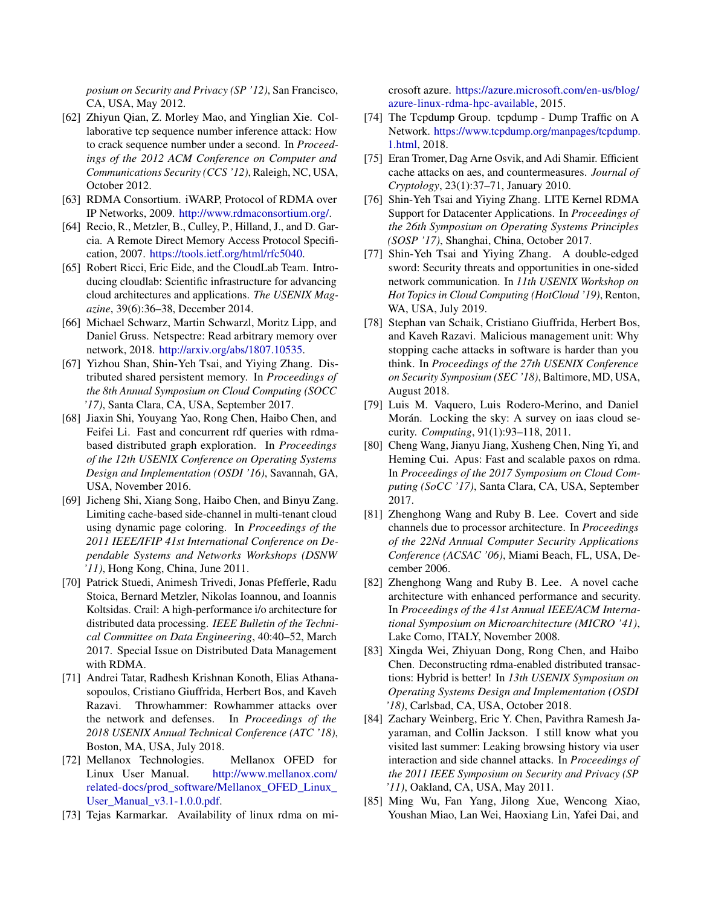*posium on Security and Privacy (SP '12)*, San Francisco, CA, USA, May 2012.

- <span id="page-16-17"></span>[62] Zhiyun Qian, Z. Morley Mao, and Yinglian Xie. Collaborative tcp sequence number inference attack: How to crack sequence number under a second. In *Proceedings of the 2012 ACM Conference on Computer and Communications Security (CCS '12)*, Raleigh, NC, USA, October 2012.
- <span id="page-16-7"></span>[63] RDMA Consortium. iWARP, Protocol of RDMA over IP Networks, 2009. [http://www.rdmaconsortium.org/.](http://www.rdmaconsortium.org/)
- <span id="page-16-8"></span>[64] Recio, R., Metzler, B., Culley, P., Hilland, J., and D. Garcia. A Remote Direct Memory Access Protocol Specification, 2007. [https://tools.ietf.org/html/rfc5040.](https://tools.ietf.org/html/rfc5040)
- <span id="page-16-5"></span>[65] Robert Ricci, Eric Eide, and the CloudLab Team. Introducing cloudlab: Scientific infrastructure for advancing cloud architectures and applications. *The USENIX Magazine*, 39(6):36–38, December 2014.
- <span id="page-16-18"></span>[66] Michael Schwarz, Martin Schwarzl, Moritz Lipp, and Daniel Gruss. Netspectre: Read arbitrary memory over network, 2018. [http://arxiv.org/abs/1807.10535.](http://arxiv.org/abs/1807.10535)
- <span id="page-16-10"></span>[67] Yizhou Shan, Shin-Yeh Tsai, and Yiying Zhang. Distributed shared persistent memory. In *Proceedings of the 8th Annual Symposium on Cloud Computing (SOCC '17)*, Santa Clara, CA, USA, September 2017.
- <span id="page-16-2"></span>[68] Jiaxin Shi, Youyang Yao, Rong Chen, Haibo Chen, and Feifei Li. Fast and concurrent rdf queries with rdmabased distributed graph exploration. In *Proceedings of the 12th USENIX Conference on Operating Systems Design and Implementation (OSDI '16)*, Savannah, GA, USA, November 2016.
- <span id="page-16-23"></span>[69] Jicheng Shi, Xiang Song, Haibo Chen, and Binyu Zang. Limiting cache-based side-channel in multi-tenant cloud using dynamic page coloring. In *Proceedings of the 2011 IEEE/IFIP 41st International Conference on Dependable Systems and Networks Workshops (DSNW '11)*, Hong Kong, China, June 2011.
- <span id="page-16-6"></span>[70] Patrick Stuedi, Animesh Trivedi, Jonas Pfefferle, Radu Stoica, Bernard Metzler, Nikolas Ioannou, and Ioannis Koltsidas. Crail: A high-performance i/o architecture for distributed data processing. *IEEE Bulletin of the Technical Committee on Data Engineering*, 40:40–52, March 2017. Special Issue on Distributed Data Management with RDMA.
- <span id="page-16-20"></span>[71] Andrei Tatar, Radhesh Krishnan Konoth, Elias Athanasopoulos, Cristiano Giuffrida, Herbert Bos, and Kaveh Razavi. Throwhammer: Rowhammer attacks over the network and defenses. In *Proceedings of the 2018 USENIX Annual Technical Conference (ATC '18)*, Boston, MA, USA, July 2018.
- <span id="page-16-11"></span>[72] Mellanox Technologies. Mellanox OFED for Linux User Manual. [http://www.mellanox.com/](http://www.mellanox.com/related-docs/prod_software/Mellanox_OFED_Linux_User_Manual_v3.1-1.0.0.pdf) [related-docs/prod\\_software/Mellanox\\_OFED\\_Linux\\_](http://www.mellanox.com/related-docs/prod_software/Mellanox_OFED_Linux_User_Manual_v3.1-1.0.0.pdf) [User\\_Manual\\_v3.1-1.0.0.pdf.](http://www.mellanox.com/related-docs/prod_software/Mellanox_OFED_Linux_User_Manual_v3.1-1.0.0.pdf)
- <span id="page-16-0"></span>[73] Tejas Karmarkar. Availability of linux rdma on mi-

crosoft azure. [https://azure.microsoft.com/en-us/blog/](https://azure.microsoft.com/en-us/blog/azure-linux-rdma-hpc-available) [azure-linux-rdma-hpc-available,](https://azure.microsoft.com/en-us/blog/azure-linux-rdma-hpc-available) 2015.

- <span id="page-16-12"></span>[74] The Tcpdump Group. tcpdump - Dump Traffic on A Network. [https://www.tcpdump.org/manpages/tcpdump.](https://www.tcpdump.org/manpages/tcpdump.1.html) [1.html,](https://www.tcpdump.org/manpages/tcpdump.1.html) 2018.
- <span id="page-16-13"></span>[75] Eran Tromer, Dag Arne Osvik, and Adi Shamir. Efficient cache attacks on aes, and countermeasures. *Journal of Cryptology*, 23(1):37–71, January 2010.
- <span id="page-16-14"></span>[76] Shin-Yeh Tsai and Yiying Zhang. LITE Kernel RDMA Support for Datacenter Applications. In *Proceedings of the 26th Symposium on Operating Systems Principles (SOSP '17)*, Shanghai, China, October 2017.
- <span id="page-16-4"></span>[77] Shin-Yeh Tsai and Yiying Zhang. A double-edged sword: Security threats and opportunities in one-sided network communication. In *11th USENIX Workshop on Hot Topics in Cloud Computing (HotCloud '19)*, Renton, WA, USA, July 2019.
- <span id="page-16-15"></span>[78] Stephan van Schaik, Cristiano Giuffrida, Herbert Bos, and Kaveh Razavi. Malicious management unit: Why stopping cache attacks in software is harder than you think. In *Proceedings of the 27th USENIX Conference on Security Symposium (SEC '18)*, Baltimore, MD, USA, August 2018.
- <span id="page-16-16"></span>[79] Luis M. Vaquero, Luis Rodero-Merino, and Daniel Morán. Locking the sky: A survey on iaas cloud security. *Computing*, 91(1):93–118, 2011.
- <span id="page-16-9"></span>[80] Cheng Wang, Jianyu Jiang, Xusheng Chen, Ning Yi, and Heming Cui. Apus: Fast and scalable paxos on rdma. In *Proceedings of the 2017 Symposium on Cloud Computing (SoCC '17)*, Santa Clara, CA, USA, September 2017.
- <span id="page-16-21"></span>[81] Zhenghong Wang and Ruby B. Lee. Covert and side channels due to processor architecture. In *Proceedings of the 22Nd Annual Computer Security Applications Conference (ACSAC '06)*, Miami Beach, FL, USA, December 2006.
- <span id="page-16-22"></span>[82] Zhenghong Wang and Ruby B. Lee. A novel cache architecture with enhanced performance and security. In *Proceedings of the 41st Annual IEEE/ACM International Symposium on Microarchitecture (MICRO '41)*, Lake Como, ITALY, November 2008.
- <span id="page-16-1"></span>[83] Xingda Wei, Zhiyuan Dong, Rong Chen, and Haibo Chen. Deconstructing rdma-enabled distributed transactions: Hybrid is better! In *13th USENIX Symposium on Operating Systems Design and Implementation (OSDI '18)*, Carlsbad, CA, USA, October 2018.
- <span id="page-16-19"></span>[84] Zachary Weinberg, Eric Y. Chen, Pavithra Ramesh Jayaraman, and Collin Jackson. I still know what you visited last summer: Leaking browsing history via user interaction and side channel attacks. In *Proceedings of the 2011 IEEE Symposium on Security and Privacy (SP '11)*, Oakland, CA, USA, May 2011.
- <span id="page-16-3"></span>[85] Ming Wu, Fan Yang, Jilong Xue, Wencong Xiao, Youshan Miao, Lan Wei, Haoxiang Lin, Yafei Dai, and